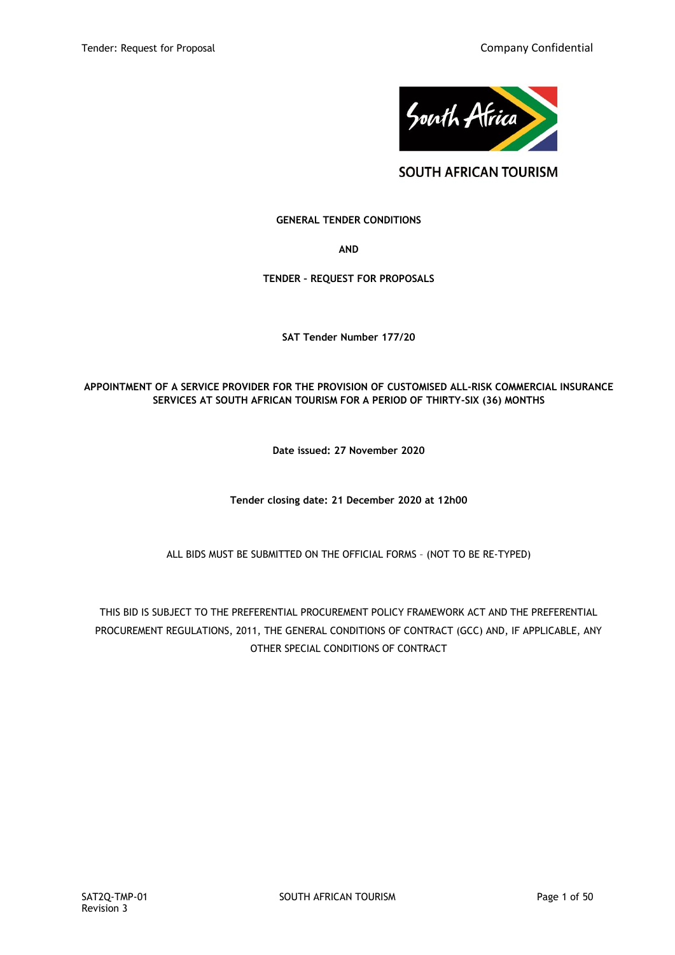

**SOUTH AFRICAN TOURISM** 

# **GENERAL TENDER CONDITIONS**

**AND**

# **TENDER – REQUEST FOR PROPOSALS**

**SAT Tender Number 177/20**

# **APPOINTMENT OF A SERVICE PROVIDER FOR THE PROVISION OF CUSTOMISED ALL-RISK COMMERCIAL INSURANCE SERVICES AT SOUTH AFRICAN TOURISM FOR A PERIOD OF THIRTY-SIX (36) MONTHS**

**Date issued: 27 November 2020**

**Tender closing date: 21 December 2020 at 12h00**

ALL BIDS MUST BE SUBMITTED ON THE OFFICIAL FORMS – (NOT TO BE RE-TYPED)

THIS BID IS SUBJECT TO THE PREFERENTIAL PROCUREMENT POLICY FRAMEWORK ACT AND THE PREFERENTIAL PROCUREMENT REGULATIONS, 2011, THE GENERAL CONDITIONS OF CONTRACT (GCC) AND, IF APPLICABLE, ANY OTHER SPECIAL CONDITIONS OF CONTRACT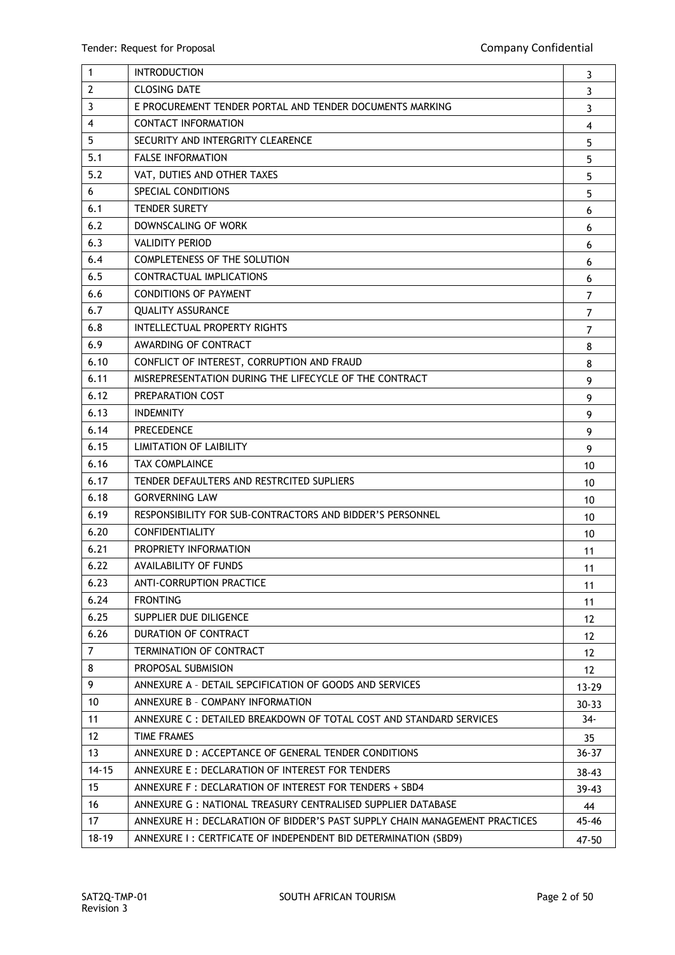| $\mathbf{1}$   | <b>INTRODUCTION</b>                                                        | 3              |
|----------------|----------------------------------------------------------------------------|----------------|
| $\overline{2}$ | <b>CLOSING DATE</b>                                                        | 3              |
| $\overline{3}$ | E PROCUREMENT TENDER PORTAL AND TENDER DOCUMENTS MARKING                   | 3              |
| 4              | <b>CONTACT INFORMATION</b>                                                 | $\overline{4}$ |
| 5              | SECURITY AND INTERGRITY CLEARENCE                                          | 5              |
| 5.1            | <b>FALSE INFORMATION</b>                                                   | 5              |
| 5.2            | VAT, DUTIES AND OTHER TAXES                                                | 5              |
| 6              | SPECIAL CONDITIONS                                                         | 5              |
| 6.1            | <b>TENDER SURETY</b>                                                       | 6              |
| 6.2            | DOWNSCALING OF WORK                                                        | 6              |
| 6.3            | <b>VALIDITY PERIOD</b>                                                     | 6              |
| 6.4            | <b>COMPLETENESS OF THE SOLUTION</b>                                        | 6              |
| 6.5            | <b>CONTRACTUAL IMPLICATIONS</b>                                            | 6              |
| 6.6            | <b>CONDITIONS OF PAYMENT</b>                                               | $\overline{7}$ |
| 6.7            | <b>QUALITY ASSURANCE</b>                                                   | $\overline{7}$ |
| 6.8            | INTELLECTUAL PROPERTY RIGHTS                                               | $\overline{7}$ |
| 6.9            | AWARDING OF CONTRACT                                                       | 8              |
| 6.10           | CONFLICT OF INTEREST, CORRUPTION AND FRAUD                                 | 8              |
| 6.11           | MISREPRESENTATION DURING THE LIFECYCLE OF THE CONTRACT                     | 9              |
| 6.12           | PREPARATION COST                                                           | 9              |
| 6.13           | <b>INDEMNITY</b>                                                           | 9              |
| 6.14           | <b>PRECEDENCE</b>                                                          | 9              |
| 6.15           | LIMITATION OF LAIBILITY                                                    | 9              |
| 6.16           | <b>TAX COMPLAINCE</b>                                                      | 10             |
| 6.17           | TENDER DEFAULTERS AND RESTRCITED SUPLIERS                                  | 10             |
| 6.18           | <b>GORVERNING LAW</b>                                                      | 10             |
| 6.19           | RESPONSIBILITY FOR SUB-CONTRACTORS AND BIDDER'S PERSONNEL                  | 10             |
| 6.20           | CONFIDENTIALITY                                                            | 10             |
| 6.21           | PROPRIETY INFORMATION                                                      | 11             |
| 6.22           | AVAILABILITY OF FUNDS                                                      | 11             |
| 6.23           | <b>ANTI-CORRUPTION PRACTICE</b>                                            | 11             |
| 6.24           | <b>FRONTING</b>                                                            | 11             |
| 6.25           | SUPPLIER DUE DILIGENCE                                                     | 12             |
| 6.26           | DURATION OF CONTRACT                                                       | 12             |
| $\overline{7}$ | TERMINATION OF CONTRACT                                                    | 12             |
| 8              | PROPOSAL SUBMISION                                                         | 12             |
| 9              | ANNEXURE A - DETAIL SEPCIFICATION OF GOODS AND SERVICES                    | $13 - 29$      |
| 10             | ANNEXURE B - COMPANY INFORMATION                                           | $30 - 33$      |
| 11             | ANNEXURE C : DETAILED BREAKDOWN OF TOTAL COST AND STANDARD SERVICES        | 34-            |
| 12             | TIME FRAMES                                                                | 35             |
| 13             | ANNEXURE D : ACCEPTANCE OF GENERAL TENDER CONDITIONS                       | $36 - 37$      |
| $14 - 15$      | ANNEXURE E : DECLARATION OF INTEREST FOR TENDERS                           | $38 - 43$      |
| 15             | ANNEXURE F : DECLARATION OF INTEREST FOR TENDERS + SBD4                    | $39 - 43$      |
| 16             | ANNEXURE G: NATIONAL TREASURY CENTRALISED SUPPLIER DATABASE                | 44             |
| 17             | ANNEXURE H: DECLARATION OF BIDDER'S PAST SUPPLY CHAIN MANAGEMENT PRACTICES | 45-46          |
| $18 - 19$      | ANNEXURE I: CERTFICATE OF INDEPENDENT BID DETERMINATION (SBD9)             | 47-50          |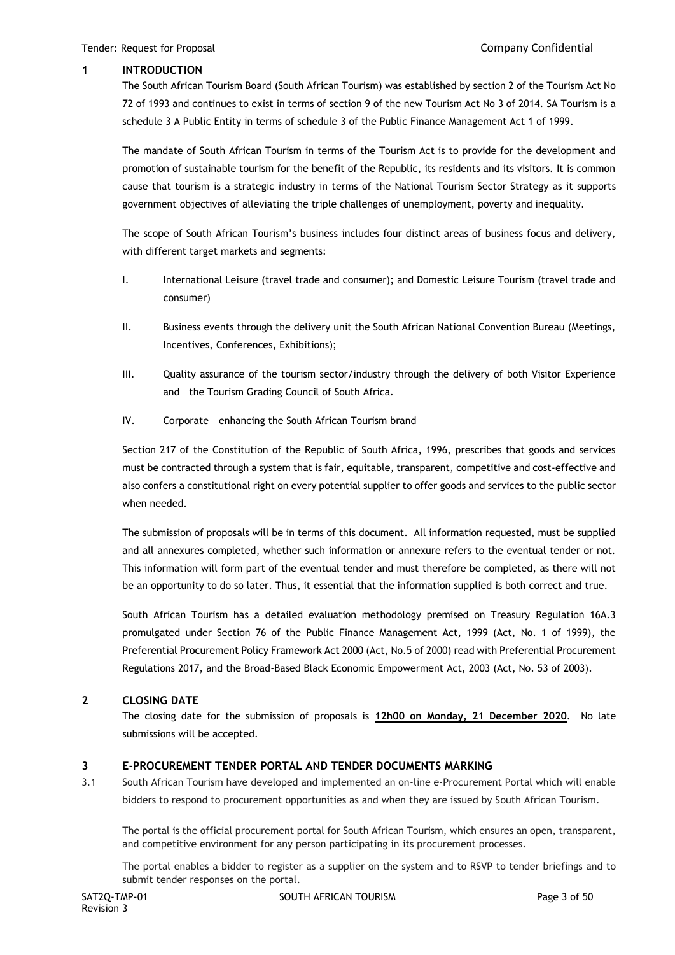# **1 INTRODUCTION**

The South African Tourism Board (South African Tourism) was established by section 2 of the Tourism Act No 72 of 1993 and continues to exist in terms of section 9 of the new Tourism Act No 3 of 2014. SA Tourism is a schedule 3 A Public Entity in terms of schedule 3 of the Public Finance Management Act 1 of 1999.

The mandate of South African Tourism in terms of the Tourism Act is to provide for the development and promotion of sustainable tourism for the benefit of the Republic, its residents and its visitors. It is common cause that tourism is a strategic industry in terms of the National Tourism Sector Strategy as it supports government objectives of alleviating the triple challenges of unemployment, poverty and inequality.

The scope of South African Tourism's business includes four distinct areas of business focus and delivery, with different target markets and segments:

- I. International Leisure (travel trade and consumer); and Domestic Leisure Tourism (travel trade and consumer)
- II. Business events through the delivery unit the South African National Convention Bureau (Meetings, Incentives, Conferences, Exhibitions);
- III. Quality assurance of the tourism sector/industry through the delivery of both Visitor Experience and the Tourism Grading Council of South Africa.
- IV. Corporate enhancing the South African Tourism brand

Section 217 of the Constitution of the Republic of South Africa, 1996, prescribes that goods and services must be contracted through a system that is fair, equitable, transparent, competitive and cost-effective and also confers a constitutional right on every potential supplier to offer goods and services to the public sector when needed.

The submission of proposals will be in terms of this document. All information requested, must be supplied and all annexures completed, whether such information or annexure refers to the eventual tender or not. This information will form part of the eventual tender and must therefore be completed, as there will not be an opportunity to do so later. Thus, it essential that the information supplied is both correct and true.

South African Tourism has a detailed evaluation methodology premised on Treasury Regulation 16A.3 promulgated under Section 76 of the Public Finance Management Act, 1999 (Act, No. 1 of 1999), the Preferential Procurement Policy Framework Act 2000 (Act, No.5 of 2000) read with Preferential Procurement Regulations 2017, and the Broad-Based Black Economic Empowerment Act, 2003 (Act, No. 53 of 2003).

# **2 CLOSING DATE**

The closing date for the submission of proposals is **12h00 on Monday, 21 December 2020**. No late submissions will be accepted.

# **3 E-PROCUREMENT TENDER PORTAL AND TENDER DOCUMENTS MARKING**

3.1 South African Tourism have developed and implemented an on-line e-Procurement Portal which will enable bidders to respond to procurement opportunities as and when they are issued by South African Tourism.

The portal is the official procurement portal for South African Tourism, which ensures an open, transparent, and competitive environment for any person participating in its procurement processes.

The portal enables a bidder to register as a supplier on the system and to RSVP to tender briefings and to submit tender responses on the portal.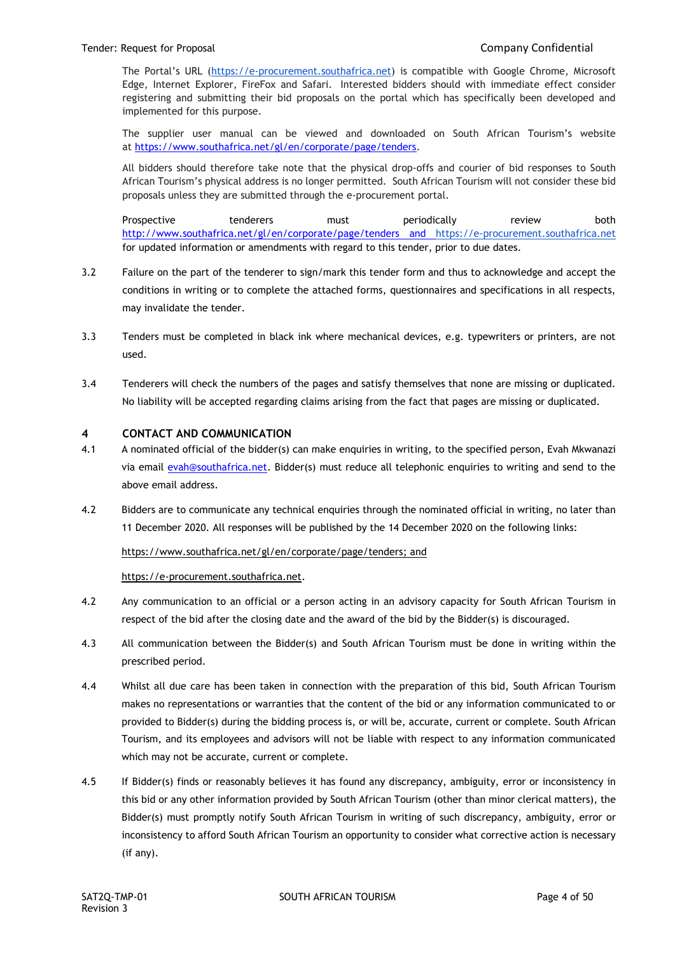The Portal's URL ([https://e-procurement.southafrica.net\)](https://e-procurement.southafrica.net/) is compatible with Google Chrome, Microsoft Edge, Internet Explorer, FireFox and Safari. Interested bidders should with immediate effect consider registering and submitting their bid proposals on the portal which has specifically been developed and implemented for this purpose.

The supplier user manual can be viewed and downloaded on South African Tourism's website at [https://www.southafrica.net/gl/en/corporate/page/tenders.](https://www.southafrica.net/gl/en/corporate/page/tenders)

All bidders should therefore take note that the physical drop-offs and courier of bid responses to South African Tourism's physical address is no longer permitted. South African Tourism will not consider these bid proposals unless they are submitted through the e-procurement portal.

Prospective tenderers must periodically review both <http://www.southafrica.net/gl/en/corporate/page/tenders> and [https://e-procurement.southafrica.net](https://e-procurement.southafrica.net/) for updated information or amendments with regard to this tender, prior to due dates.

- 3.2 Failure on the part of the tenderer to sign/mark this tender form and thus to acknowledge and accept the conditions in writing or to complete the attached forms, questionnaires and specifications in all respects, may invalidate the tender.
- 3.3 Tenders must be completed in black ink where mechanical devices, e.g. typewriters or printers, are not used.
- 3.4 Tenderers will check the numbers of the pages and satisfy themselves that none are missing or duplicated. No liability will be accepted regarding claims arising from the fact that pages are missing or duplicated.

# **4 CONTACT AND COMMUNICATION**

- 4.1 A nominated official of the bidder(s) can make enquiries in writing, to the specified person, Evah Mkwanazi via email [evah@southafrica.net.](mailto:evah@southafrica.net) Bidder(s) must reduce all telephonic enquiries to writing and send to the above email address.
- 4.2 Bidders are to communicate any technical enquiries through the nominated official in writing, no later than 11 December 2020. All responses will be published by the 14 December 2020 on the following links:

# [https://www.southafrica.net/gl/en/corporate/page/tenders;](https://www.southafrica.net/gl/en/corporate/page/tenders) and

[https://e-procurement.southafrica.net.](https://e-procurement.southafrica.net/)

- 4.2 Any communication to an official or a person acting in an advisory capacity for South African Tourism in respect of the bid after the closing date and the award of the bid by the Bidder(s) is discouraged.
- 4.3 All communication between the Bidder(s) and South African Tourism must be done in writing within the prescribed period.
- 4.4 Whilst all due care has been taken in connection with the preparation of this bid, South African Tourism makes no representations or warranties that the content of the bid or any information communicated to or provided to Bidder(s) during the bidding process is, or will be, accurate, current or complete. South African Tourism, and its employees and advisors will not be liable with respect to any information communicated which may not be accurate, current or complete.
- 4.5 If Bidder(s) finds or reasonably believes it has found any discrepancy, ambiguity, error or inconsistency in this bid or any other information provided by South African Tourism (other than minor clerical matters), the Bidder(s) must promptly notify South African Tourism in writing of such discrepancy, ambiguity, error or inconsistency to afford South African Tourism an opportunity to consider what corrective action is necessary (if any).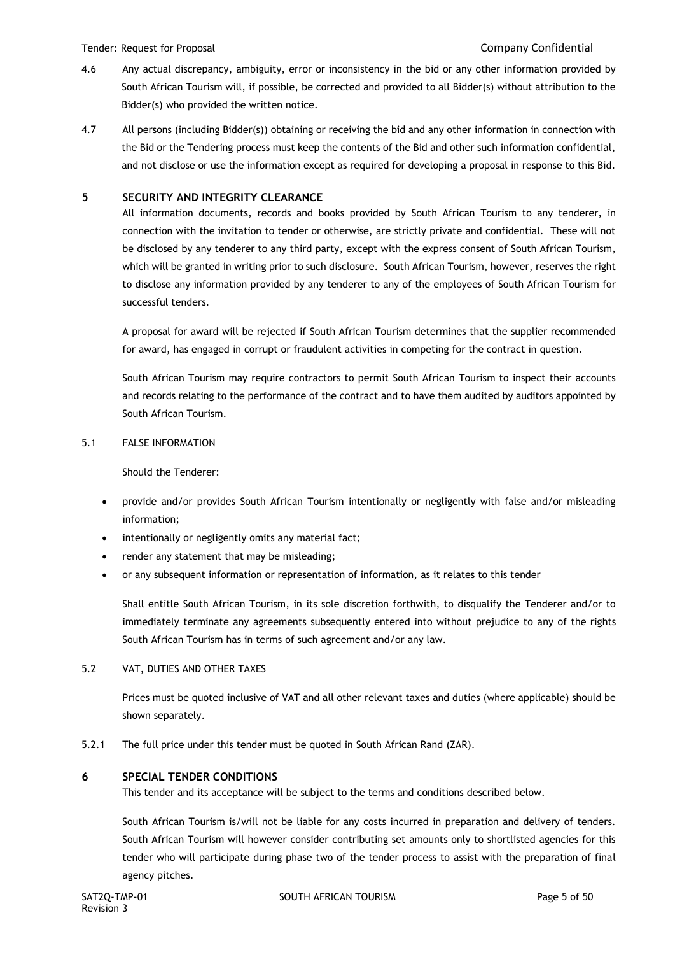#### Tender: Request for Proposal Company Confidential

- 4.6 Any actual discrepancy, ambiguity, error or inconsistency in the bid or any other information provided by South African Tourism will, if possible, be corrected and provided to all Bidder(s) without attribution to the Bidder(s) who provided the written notice.
- 4.7 All persons (including Bidder(s)) obtaining or receiving the bid and any other information in connection with the Bid or the Tendering process must keep the contents of the Bid and other such information confidential, and not disclose or use the information except as required for developing a proposal in response to this Bid.

# **5 SECURITY AND INTEGRITY CLEARANCE**

All information documents, records and books provided by South African Tourism to any tenderer, in connection with the invitation to tender or otherwise, are strictly private and confidential. These will not be disclosed by any tenderer to any third party, except with the express consent of South African Tourism, which will be granted in writing prior to such disclosure. South African Tourism, however, reserves the right to disclose any information provided by any tenderer to any of the employees of South African Tourism for successful tenders.

A proposal for award will be rejected if South African Tourism determines that the supplier recommended for award, has engaged in corrupt or fraudulent activities in competing for the contract in question.

South African Tourism may require contractors to permit South African Tourism to inspect their accounts and records relating to the performance of the contract and to have them audited by auditors appointed by South African Tourism.

### 5.1 FALSE INFORMATION

Should the Tenderer:

- provide and/or provides South African Tourism intentionally or negligently with false and/or misleading information;
- intentionally or negligently omits any material fact;
- render any statement that may be misleading;
- or any subsequent information or representation of information, as it relates to this tender

Shall entitle South African Tourism, in its sole discretion forthwith, to disqualify the Tenderer and/or to immediately terminate any agreements subsequently entered into without prejudice to any of the rights South African Tourism has in terms of such agreement and/or any law.

### 5.2 VAT, DUTIES AND OTHER TAXES

Prices must be quoted inclusive of VAT and all other relevant taxes and duties (where applicable) should be shown separately.

5.2.1 The full price under this tender must be quoted in South African Rand (ZAR).

### **6 SPECIAL TENDER CONDITIONS**

This tender and its acceptance will be subject to the terms and conditions described below.

South African Tourism is/will not be liable for any costs incurred in preparation and delivery of tenders. South African Tourism will however consider contributing set amounts only to shortlisted agencies for this tender who will participate during phase two of the tender process to assist with the preparation of final agency pitches.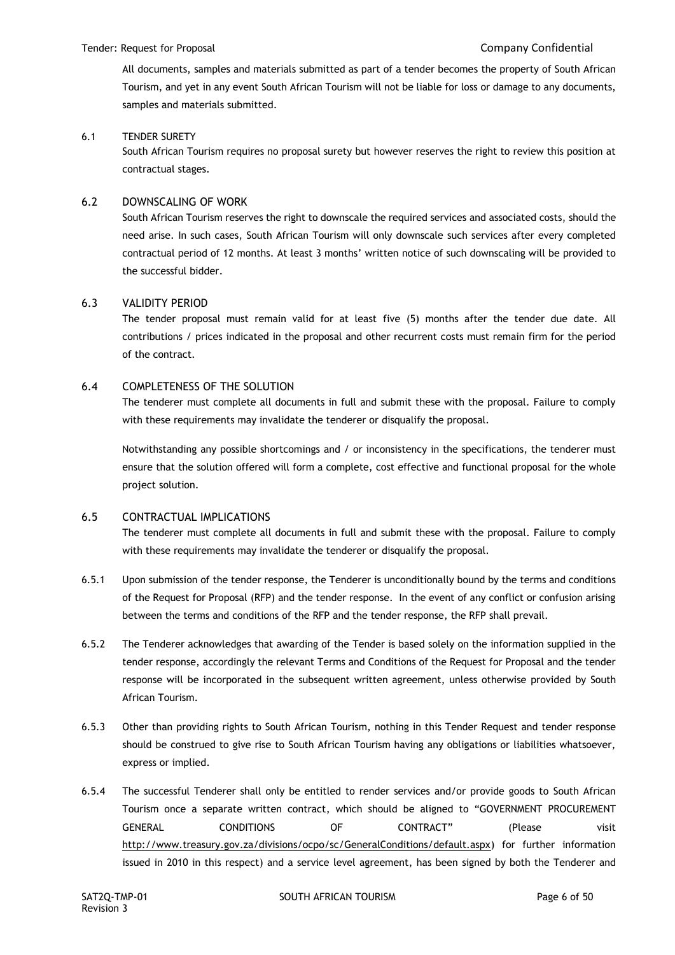All documents, samples and materials submitted as part of a tender becomes the property of South African Tourism, and yet in any event South African Tourism will not be liable for loss or damage to any documents, samples and materials submitted.

# 6.1 TENDER SURETY

South African Tourism requires no proposal surety but however reserves the right to review this position at contractual stages.

# 6.2 DOWNSCALING OF WORK

South African Tourism reserves the right to downscale the required services and associated costs, should the need arise. In such cases, South African Tourism will only downscale such services after every completed contractual period of 12 months. At least 3 months' written notice of such downscaling will be provided to the successful bidder.

### 6.3 VALIDITY PERIOD

The tender proposal must remain valid for at least five (5) months after the tender due date. All contributions / prices indicated in the proposal and other recurrent costs must remain firm for the period of the contract.

### 6.4 COMPLETENESS OF THE SOLUTION

The tenderer must complete all documents in full and submit these with the proposal. Failure to comply with these requirements may invalidate the tenderer or disqualify the proposal.

Notwithstanding any possible shortcomings and / or inconsistency in the specifications, the tenderer must ensure that the solution offered will form a complete, cost effective and functional proposal for the whole project solution.

# 6.5 CONTRACTUAL IMPLICATIONS

The tenderer must complete all documents in full and submit these with the proposal. Failure to comply with these requirements may invalidate the tenderer or disqualify the proposal.

- 6.5.1 Upon submission of the tender response, the Tenderer is unconditionally bound by the terms and conditions of the Request for Proposal (RFP) and the tender response. In the event of any conflict or confusion arising between the terms and conditions of the RFP and the tender response, the RFP shall prevail.
- 6.5.2 The Tenderer acknowledges that awarding of the Tender is based solely on the information supplied in the tender response, accordingly the relevant Terms and Conditions of the Request for Proposal and the tender response will be incorporated in the subsequent written agreement, unless otherwise provided by South African Tourism.
- 6.5.3 Other than providing rights to South African Tourism, nothing in this Tender Request and tender response should be construed to give rise to South African Tourism having any obligations or liabilities whatsoever, express or implied.
- 6.5.4 The successful Tenderer shall only be entitled to render services and/or provide goods to South African Tourism once a separate written contract, which should be aligned to "GOVERNMENT PROCUREMENT GENERAL CONDITIONS OF CONTRACT" (Please visit [http://www.treasury.gov.za/divisions/ocpo/sc/GeneralConditions/default.aspx\)](http://www.treasury.gov.za/divisions/ocpo/sc/GeneralConditions/default.aspx) for further information issued in 2010 in this respect) and a service level agreement, has been signed by both the Tenderer and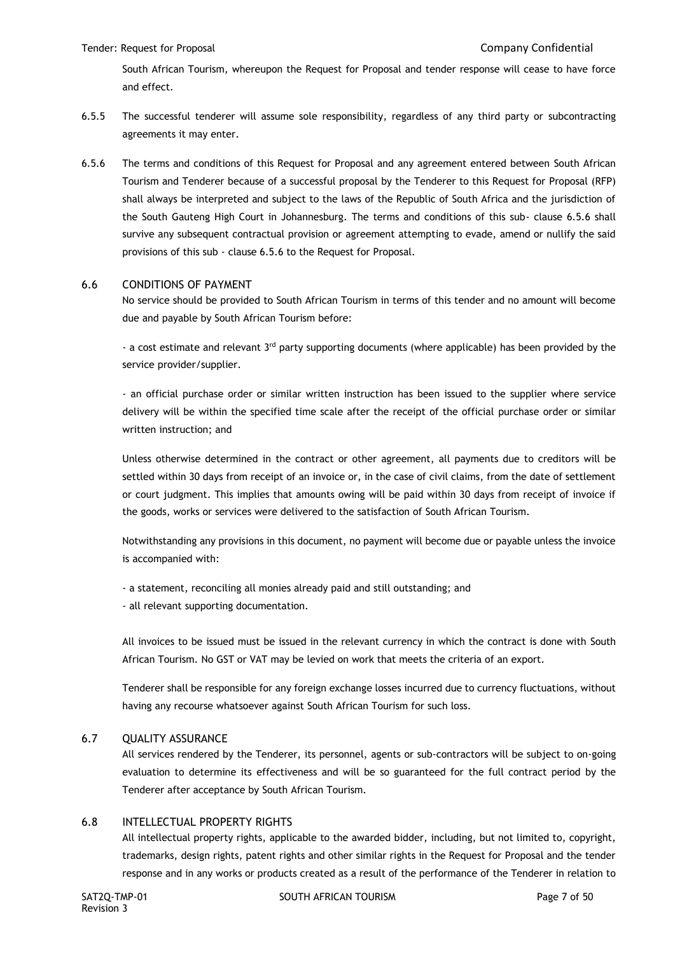#### Tender: Request for Proposal Company Confidential

South African Tourism, whereupon the Request for Proposal and tender response will cease to have force and effect.

- 6.5.5 The successful tenderer will assume sole responsibility, regardless of any third party or subcontracting agreements it may enter.
- 6.5.6 The terms and conditions of this Request for Proposal and any agreement entered between South African Tourism and Tenderer because of a successful proposal by the Tenderer to this Request for Proposal (RFP) shall always be interpreted and subject to the laws of the Republic of South Africa and the jurisdiction of the South Gauteng High Court in Johannesburg. The terms and conditions of this sub- clause 6.5.6 shall survive any subsequent contractual provision or agreement attempting to evade, amend or nullify the said provisions of this sub - clause 6.5.6 to the Request for Proposal.

#### 6.6 CONDITIONS OF PAYMENT

No service should be provided to South African Tourism in terms of this tender and no amount will become due and payable by South African Tourism before:

- a cost estimate and relevant 3<sup>rd</sup> party supporting documents (where applicable) has been provided by the service provider/supplier.

- an official purchase order or similar written instruction has been issued to the supplier where service delivery will be within the specified time scale after the receipt of the official purchase order or similar written instruction; and

Unless otherwise determined in the contract or other agreement, all payments due to creditors will be settled within 30 days from receipt of an invoice or, in the case of civil claims, from the date of settlement or court judgment. This implies that amounts owing will be paid within 30 days from receipt of invoice if the goods, works or services were delivered to the satisfaction of South African Tourism.

Notwithstanding any provisions in this document, no payment will become due or payable unless the invoice is accompanied with:

- a statement, reconciling all monies already paid and still outstanding; and
- all relevant supporting documentation.

All invoices to be issued must be issued in the relevant currency in which the contract is done with South African Tourism. No GST or VAT may be levied on work that meets the criteria of an export.

Tenderer shall be responsible for any foreign exchange losses incurred due to currency fluctuations, without having any recourse whatsoever against South African Tourism for such loss.

### 6.7 QUALITY ASSURANCE

All services rendered by the Tenderer, its personnel, agents or sub-contractors will be subject to on-going evaluation to determine its effectiveness and will be so guaranteed for the full contract period by the Tenderer after acceptance by South African Tourism.

### 6.8 INTELLECTUAL PROPERTY RIGHTS

All intellectual property rights, applicable to the awarded bidder, including, but not limited to, copyright, trademarks, design rights, patent rights and other similar rights in the Request for Proposal and the tender response and in any works or products created as a result of the performance of the Tenderer in relation to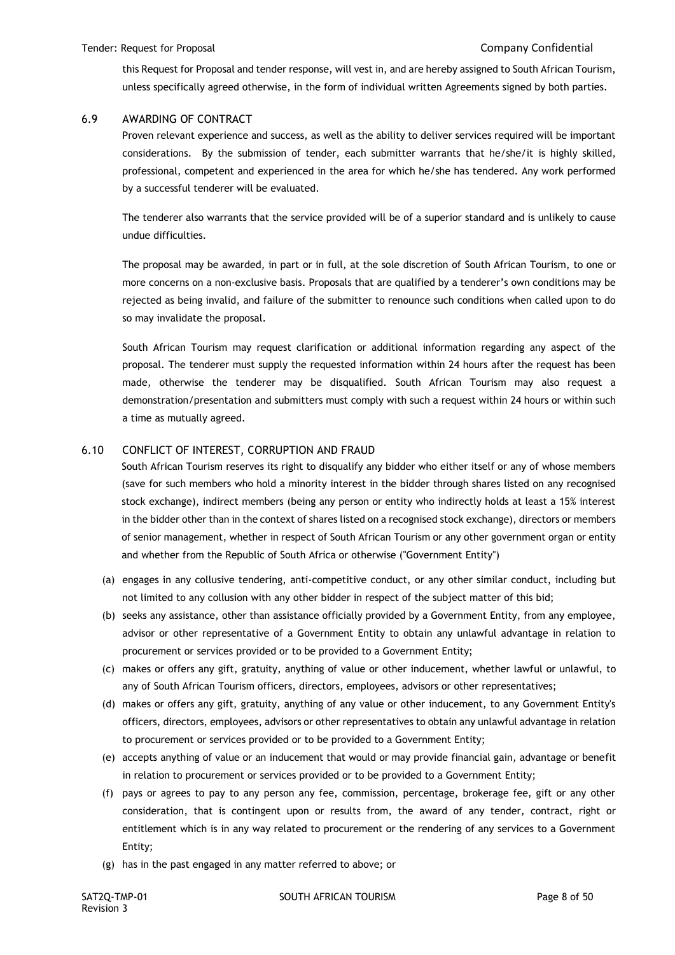this Request for Proposal and tender response, will vest in, and are hereby assigned to South African Tourism, unless specifically agreed otherwise, in the form of individual written Agreements signed by both parties.

# 6.9 AWARDING OF CONTRACT

Proven relevant experience and success, as well as the ability to deliver services required will be important considerations. By the submission of tender, each submitter warrants that he/she/it is highly skilled, professional, competent and experienced in the area for which he/she has tendered. Any work performed by a successful tenderer will be evaluated.

The tenderer also warrants that the service provided will be of a superior standard and is unlikely to cause undue difficulties.

The proposal may be awarded, in part or in full, at the sole discretion of South African Tourism, to one or more concerns on a non-exclusive basis. Proposals that are qualified by a tenderer's own conditions may be rejected as being invalid, and failure of the submitter to renounce such conditions when called upon to do so may invalidate the proposal.

South African Tourism may request clarification or additional information regarding any aspect of the proposal. The tenderer must supply the requested information within 24 hours after the request has been made, otherwise the tenderer may be disqualified. South African Tourism may also request a demonstration/presentation and submitters must comply with such a request within 24 hours or within such a time as mutually agreed.

# 6.10 CONFLICT OF INTEREST, CORRUPTION AND FRAUD

South African Tourism reserves its right to disqualify any bidder who either itself or any of whose members (save for such members who hold a minority interest in the bidder through shares listed on any recognised stock exchange), indirect members (being any person or entity who indirectly holds at least a 15% interest in the bidder other than in the context of shares listed on a recognised stock exchange), directors or members of senior management, whether in respect of South African Tourism or any other government organ or entity and whether from the Republic of South Africa or otherwise ("Government Entity")

- (a) engages in any collusive tendering, anti-competitive conduct, or any other similar conduct, including but not limited to any collusion with any other bidder in respect of the subject matter of this bid;
- (b) seeks any assistance, other than assistance officially provided by a Government Entity, from any employee, advisor or other representative of a Government Entity to obtain any unlawful advantage in relation to procurement or services provided or to be provided to a Government Entity;
- (c) makes or offers any gift, gratuity, anything of value or other inducement, whether lawful or unlawful, to any of South African Tourism officers, directors, employees, advisors or other representatives;
- (d) makes or offers any gift, gratuity, anything of any value or other inducement, to any Government Entity's officers, directors, employees, advisors or other representatives to obtain any unlawful advantage in relation to procurement or services provided or to be provided to a Government Entity;
- (e) accepts anything of value or an inducement that would or may provide financial gain, advantage or benefit in relation to procurement or services provided or to be provided to a Government Entity;
- (f) pays or agrees to pay to any person any fee, commission, percentage, brokerage fee, gift or any other consideration, that is contingent upon or results from, the award of any tender, contract, right or entitlement which is in any way related to procurement or the rendering of any services to a Government Entity;
- (g) has in the past engaged in any matter referred to above; or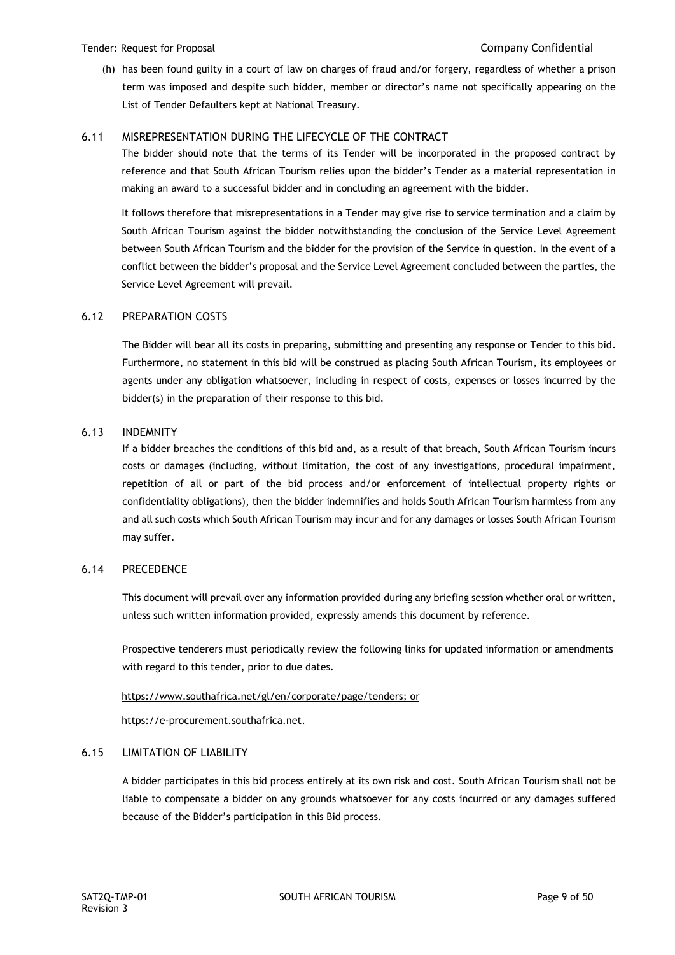#### Tender: Request for Proposal Company Confidential

(h) has been found guilty in a court of law on charges of fraud and/or forgery, regardless of whether a prison term was imposed and despite such bidder, member or director's name not specifically appearing on the List of Tender Defaulters kept at National Treasury.

# 6.11 MISREPRESENTATION DURING THE LIFECYCLE OF THE CONTRACT

The bidder should note that the terms of its Tender will be incorporated in the proposed contract by reference and that South African Tourism relies upon the bidder's Tender as a material representation in making an award to a successful bidder and in concluding an agreement with the bidder.

It follows therefore that misrepresentations in a Tender may give rise to service termination and a claim by South African Tourism against the bidder notwithstanding the conclusion of the Service Level Agreement between South African Tourism and the bidder for the provision of the Service in question. In the event of a conflict between the bidder's proposal and the Service Level Agreement concluded between the parties, the Service Level Agreement will prevail.

# 6.12 PREPARATION COSTS

The Bidder will bear all its costs in preparing, submitting and presenting any response or Tender to this bid. Furthermore, no statement in this bid will be construed as placing South African Tourism, its employees or agents under any obligation whatsoever, including in respect of costs, expenses or losses incurred by the bidder(s) in the preparation of their response to this bid.

### 6.13 INDEMNITY

If a bidder breaches the conditions of this bid and, as a result of that breach, South African Tourism incurs costs or damages (including, without limitation, the cost of any investigations, procedural impairment, repetition of all or part of the bid process and/or enforcement of intellectual property rights or confidentiality obligations), then the bidder indemnifies and holds South African Tourism harmless from any and all such costs which South African Tourism may incur and for any damages or losses South African Tourism may suffer.

### 6.14 PRECEDENCE

This document will prevail over any information provided during any briefing session whether oral or written, unless such written information provided, expressly amends this document by reference.

Prospective tenderers must periodically review the following links for updated information or amendments with regard to this tender, prior to due dates.

### [https://www.southafrica.net/gl/en/corporate/page/tenders;](https://www.southafrica.net/gl/en/corporate/page/tenders) or

[https://e-procurement.southafrica.net.](https://e-procurement.southafrica.net/)

# 6.15 LIMITATION OF LIABILITY

A bidder participates in this bid process entirely at its own risk and cost. South African Tourism shall not be liable to compensate a bidder on any grounds whatsoever for any costs incurred or any damages suffered because of the Bidder's participation in this Bid process.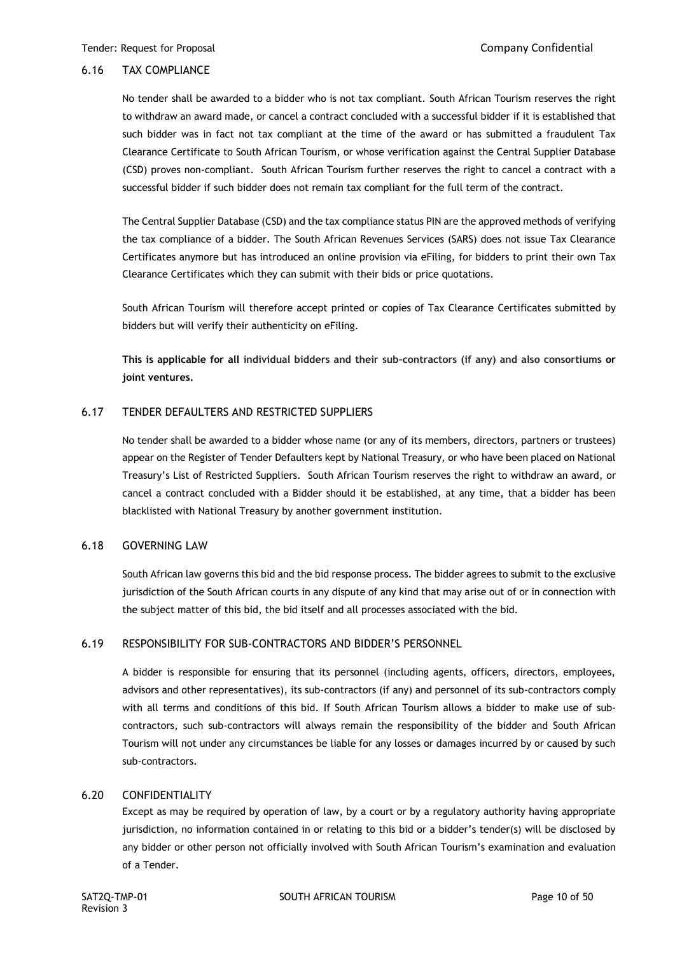## 6.16 TAX COMPLIANCE

No tender shall be awarded to a bidder who is not tax compliant. South African Tourism reserves the right to withdraw an award made, or cancel a contract concluded with a successful bidder if it is established that such bidder was in fact not tax compliant at the time of the award or has submitted a fraudulent Tax Clearance Certificate to South African Tourism, or whose verification against the Central Supplier Database (CSD) proves non-compliant. South African Tourism further reserves the right to cancel a contract with a successful bidder if such bidder does not remain tax compliant for the full term of the contract.

The Central Supplier Database (CSD) and the tax compliance status PIN are the approved methods of verifying the tax compliance of a bidder. The South African Revenues Services (SARS) does not issue Tax Clearance Certificates anymore but has introduced an online provision via eFiling, for bidders to print their own Tax Clearance Certificates which they can submit with their bids or price quotations.

South African Tourism will therefore accept printed or copies of Tax Clearance Certificates submitted by bidders but will verify their authenticity on eFiling.

**This is applicable for all individual bidders and their sub-contractors (if any) and also consortiums or joint ventures.**

# 6.17 TENDER DEFAULTERS AND RESTRICTED SUPPLIERS

No tender shall be awarded to a bidder whose name (or any of its members, directors, partners or trustees) appear on the Register of Tender Defaulters kept by National Treasury, or who have been placed on National Treasury's List of Restricted Suppliers. South African Tourism reserves the right to withdraw an award, or cancel a contract concluded with a Bidder should it be established, at any time, that a bidder has been blacklisted with National Treasury by another government institution.

# 6.18 GOVERNING LAW

South African law governs this bid and the bid response process. The bidder agrees to submit to the exclusive jurisdiction of the South African courts in any dispute of any kind that may arise out of or in connection with the subject matter of this bid, the bid itself and all processes associated with the bid.

### 6.19 RESPONSIBILITY FOR SUB-CONTRACTORS AND BIDDER'S PERSONNEL

A bidder is responsible for ensuring that its personnel (including agents, officers, directors, employees, advisors and other representatives), its sub-contractors (if any) and personnel of its sub-contractors comply with all terms and conditions of this bid. If South African Tourism allows a bidder to make use of subcontractors, such sub-contractors will always remain the responsibility of the bidder and South African Tourism will not under any circumstances be liable for any losses or damages incurred by or caused by such sub-contractors.

### 6.20 CONFIDENTIALITY

Except as may be required by operation of law, by a court or by a regulatory authority having appropriate jurisdiction, no information contained in or relating to this bid or a bidder's tender(s) will be disclosed by any bidder or other person not officially involved with South African Tourism's examination and evaluation of a Tender.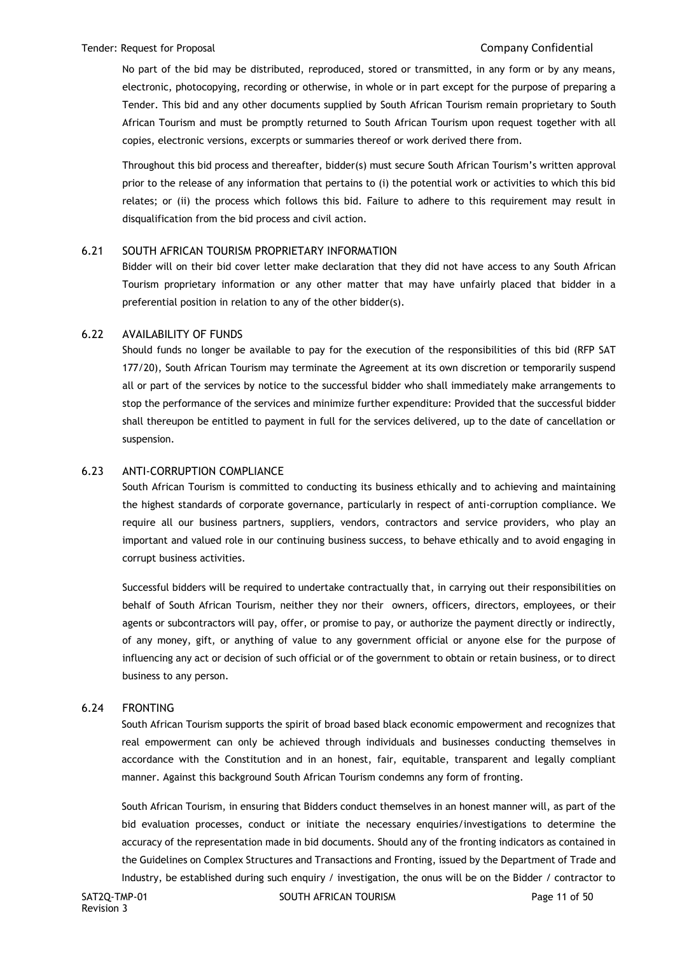#### Tender: Request for Proposal Company Confidential

No part of the bid may be distributed, reproduced, stored or transmitted, in any form or by any means, electronic, photocopying, recording or otherwise, in whole or in part except for the purpose of preparing a Tender. This bid and any other documents supplied by South African Tourism remain proprietary to South African Tourism and must be promptly returned to South African Tourism upon request together with all copies, electronic versions, excerpts or summaries thereof or work derived there from.

Throughout this bid process and thereafter, bidder(s) must secure South African Tourism's written approval prior to the release of any information that pertains to (i) the potential work or activities to which this bid relates; or (ii) the process which follows this bid. Failure to adhere to this requirement may result in disqualification from the bid process and civil action.

### 6.21 SOUTH AFRICAN TOURISM PROPRIETARY INFORMATION

Bidder will on their bid cover letter make declaration that they did not have access to any South African Tourism proprietary information or any other matter that may have unfairly placed that bidder in a preferential position in relation to any of the other bidder(s).

### 6.22 AVAILABILITY OF FUNDS

Should funds no longer be available to pay for the execution of the responsibilities of this bid (RFP SAT 177/20), South African Tourism may terminate the Agreement at its own discretion or temporarily suspend all or part of the services by notice to the successful bidder who shall immediately make arrangements to stop the performance of the services and minimize further expenditure: Provided that the successful bidder shall thereupon be entitled to payment in full for the services delivered, up to the date of cancellation or suspension.

#### 6.23 ANTI-CORRUPTION COMPLIANCE

South African Tourism is committed to conducting its business ethically and to achieving and maintaining the highest standards of corporate governance, particularly in respect of anti-corruption compliance. We require all our business partners, suppliers, vendors, contractors and service providers, who play an important and valued role in our continuing business success, to behave ethically and to avoid engaging in corrupt business activities.

Successful bidders will be required to undertake contractually that, in carrying out their responsibilities on behalf of South African Tourism, neither they nor their owners, officers, directors, employees, or their agents or subcontractors will pay, offer, or promise to pay, or authorize the payment directly or indirectly, of any money, gift, or anything of value to any government official or anyone else for the purpose of influencing any act or decision of such official or of the government to obtain or retain business, or to direct business to any person.

#### 6.24 FRONTING

South African Tourism supports the spirit of broad based black economic empowerment and recognizes that real empowerment can only be achieved through individuals and businesses conducting themselves in accordance with the Constitution and in an honest, fair, equitable, transparent and legally compliant manner. Against this background South African Tourism condemns any form of fronting.

South African Tourism, in ensuring that Bidders conduct themselves in an honest manner will, as part of the bid evaluation processes, conduct or initiate the necessary enquiries/investigations to determine the accuracy of the representation made in bid documents. Should any of the fronting indicators as contained in the Guidelines on Complex Structures and Transactions and Fronting, issued by the Department of Trade and Industry, be established during such enquiry / investigation, the onus will be on the Bidder / contractor to

SAT2Q-TMP-01 SOUTH AFRICAN TOURISM SAT2Q-TMP-01 Page 11 of 50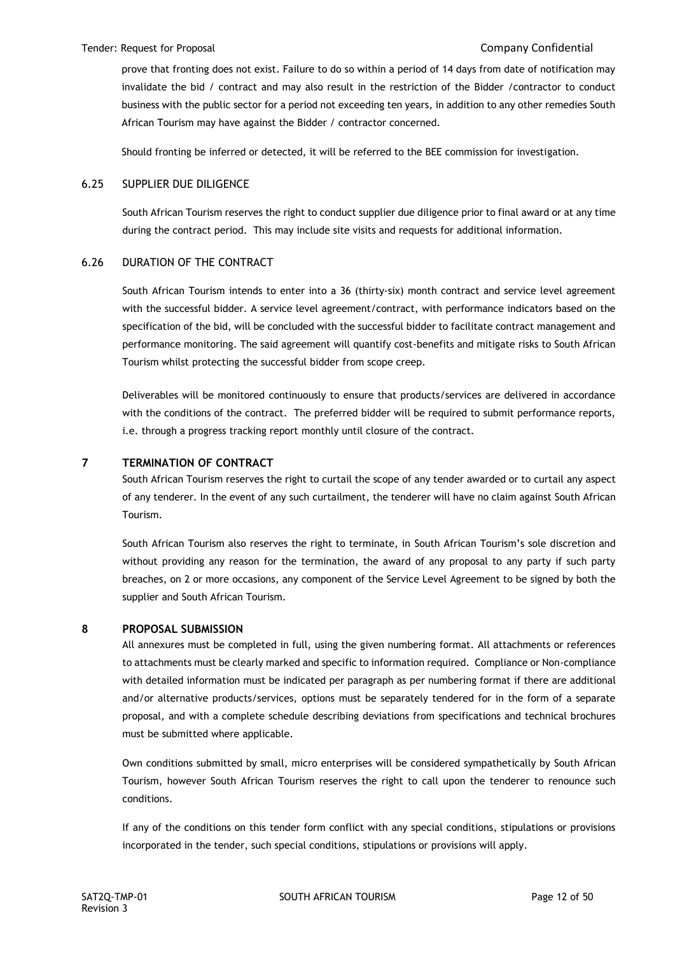#### Tender: Request for Proposal Company Confidential

prove that fronting does not exist. Failure to do so within a period of 14 days from date of notification may invalidate the bid / contract and may also result in the restriction of the Bidder /contractor to conduct business with the public sector for a period not exceeding ten years, in addition to any other remedies South African Tourism may have against the Bidder / contractor concerned.

Should fronting be inferred or detected, it will be referred to the BEE commission for investigation.

### 6.25 SUPPLIER DUE DILIGENCE

South African Tourism reserves the right to conduct supplier due diligence prior to final award or at any time during the contract period. This may include site visits and requests for additional information.

### 6.26 DURATION OF THE CONTRACT

South African Tourism intends to enter into a 36 (thirty-six) month contract and service level agreement with the successful bidder. A service level agreement/contract, with performance indicators based on the specification of the bid, will be concluded with the successful bidder to facilitate contract management and performance monitoring. The said agreement will quantify cost-benefits and mitigate risks to South African Tourism whilst protecting the successful bidder from scope creep.

Deliverables will be monitored continuously to ensure that products/services are delivered in accordance with the conditions of the contract. The preferred bidder will be required to submit performance reports, i.e. through a progress tracking report monthly until closure of the contract.

### **7 TERMINATION OF CONTRACT**

South African Tourism reserves the right to curtail the scope of any tender awarded or to curtail any aspect of any tenderer. In the event of any such curtailment, the tenderer will have no claim against South African Tourism.

South African Tourism also reserves the right to terminate, in South African Tourism's sole discretion and without providing any reason for the termination, the award of any proposal to any party if such party breaches, on 2 or more occasions, any component of the Service Level Agreement to be signed by both the supplier and South African Tourism.

### **8 PROPOSAL SUBMISSION**

All annexures must be completed in full, using the given numbering format. All attachments or references to attachments must be clearly marked and specific to information required. Compliance or Non-compliance with detailed information must be indicated per paragraph as per numbering format if there are additional and/or alternative products/services, options must be separately tendered for in the form of a separate proposal, and with a complete schedule describing deviations from specifications and technical brochures must be submitted where applicable.

Own conditions submitted by small, micro enterprises will be considered sympathetically by South African Tourism, however South African Tourism reserves the right to call upon the tenderer to renounce such conditions.

If any of the conditions on this tender form conflict with any special conditions, stipulations or provisions incorporated in the tender, such special conditions, stipulations or provisions will apply.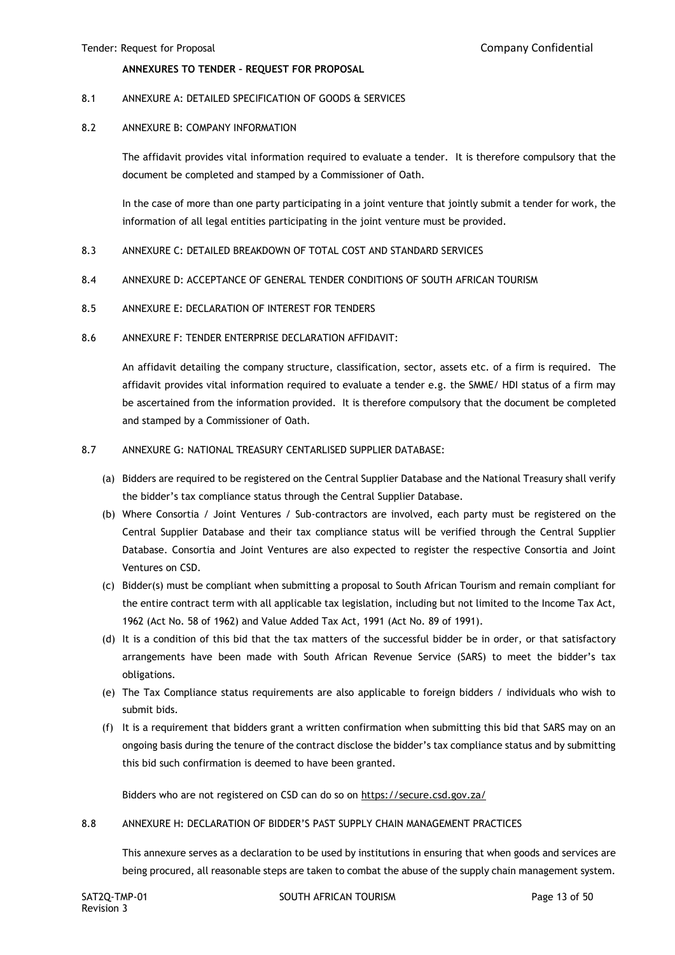#### **ANNEXURES TO TENDER – REQUEST FOR PROPOSAL**

#### 8.1 ANNEXURE A: DETAILED SPECIFICATION OF GOODS & SERVICES

#### 8.2 ANNEXURE B: COMPANY INFORMATION

The affidavit provides vital information required to evaluate a tender. It is therefore compulsory that the document be completed and stamped by a Commissioner of Oath.

In the case of more than one party participating in a joint venture that jointly submit a tender for work, the information of all legal entities participating in the joint venture must be provided.

- 8.3 ANNEXURE C: DETAILED BREAKDOWN OF TOTAL COST AND STANDARD SERVICES
- 8.4 ANNEXURE D: ACCEPTANCE OF GENERAL TENDER CONDITIONS OF SOUTH AFRICAN TOURISM
- 8.5 ANNEXURE E: DECLARATION OF INTEREST FOR TENDERS
- 8.6 ANNEXURE F: TENDER ENTERPRISE DECLARATION AFFIDAVIT:

An affidavit detailing the company structure, classification, sector, assets etc. of a firm is required. The affidavit provides vital information required to evaluate a tender e.g. the SMME/ HDI status of a firm may be ascertained from the information provided. It is therefore compulsory that the document be completed and stamped by a Commissioner of Oath.

#### 8.7 ANNEXURE G: NATIONAL TREASURY CENTARLISED SUPPLIER DATABASE:

- (a) Bidders are required to be registered on the Central Supplier Database and the National Treasury shall verify the bidder's tax compliance status through the Central Supplier Database.
- (b) Where Consortia / Joint Ventures / Sub-contractors are involved, each party must be registered on the Central Supplier Database and their tax compliance status will be verified through the Central Supplier Database. Consortia and Joint Ventures are also expected to register the respective Consortia and Joint Ventures on CSD.
- (c) Bidder(s) must be compliant when submitting a proposal to South African Tourism and remain compliant for the entire contract term with all applicable tax legislation, including but not limited to the Income Tax Act, 1962 (Act No. 58 of 1962) and Value Added Tax Act, 1991 (Act No. 89 of 1991).
- (d) It is a condition of this bid that the tax matters of the successful bidder be in order, or that satisfactory arrangements have been made with South African Revenue Service (SARS) to meet the bidder's tax obligations.
- (e) The Tax Compliance status requirements are also applicable to foreign bidders / individuals who wish to submit bids.
- (f) It is a requirement that bidders grant a written confirmation when submitting this bid that SARS may on an ongoing basis during the tenure of the contract disclose the bidder's tax compliance status and by submitting this bid such confirmation is deemed to have been granted.

Bidders who are not registered on CSD can do so on<https://secure.csd.gov.za/>

8.8 ANNEXURE H: DECLARATION OF BIDDER'S PAST SUPPLY CHAIN MANAGEMENT PRACTICES

This annexure serves as a declaration to be used by institutions in ensuring that when goods and services are being procured, all reasonable steps are taken to combat the abuse of the supply chain management system.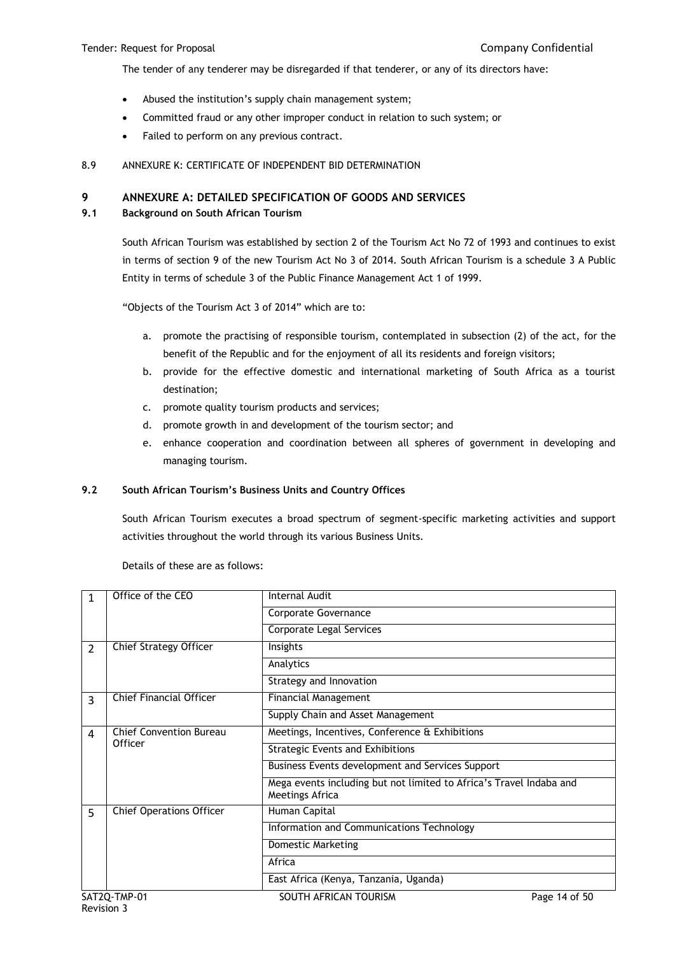The tender of any tenderer may be disregarded if that tenderer, or any of its directors have:

- Abused the institution's supply chain management system;
- Committed fraud or any other improper conduct in relation to such system; or
- Failed to perform on any previous contract.

### 8.9 ANNEXURE K: CERTIFICATE OF INDEPENDENT BID DETERMINATION

# **9 ANNEXURE A: DETAILED SPECIFICATION OF GOODS AND SERVICES**

### **9.1 Background on South African Tourism**

South African Tourism was established by section 2 of the Tourism Act No 72 of 1993 and continues to exist in terms of section 9 of the new Tourism Act No 3 of 2014. South African Tourism is a schedule 3 A Public Entity in terms of schedule 3 of the Public Finance Management Act 1 of 1999.

"Objects of the Tourism Act 3 of 2014" which are to:

- a. promote the practising of responsible tourism, contemplated in subsection (2) of the act, for the benefit of the Republic and for the enjoyment of all its residents and foreign visitors;
- b. provide for the effective domestic and international marketing of South Africa as a tourist destination;
- c. promote quality tourism products and services;
- d. promote growth in and development of the tourism sector; and
- e. enhance cooperation and coordination between all spheres of government in developing and managing tourism.

### **9.2 South African Tourism's Business Units and Country Offices**

South African Tourism executes a broad spectrum of segment-specific marketing activities and support activities throughout the world through its various Business Units.

| $\mathbf{1}$                        | Internal Audit<br>Office of the CEO |                                                                                        |               |
|-------------------------------------|-------------------------------------|----------------------------------------------------------------------------------------|---------------|
|                                     |                                     | Corporate Governance                                                                   |               |
|                                     |                                     | Corporate Legal Services                                                               |               |
| $\overline{2}$                      | Chief Strategy Officer              | Insights                                                                               |               |
|                                     |                                     | Analytics                                                                              |               |
|                                     |                                     | Strategy and Innovation                                                                |               |
| 3                                   | <b>Chief Financial Officer</b>      | <b>Financial Management</b>                                                            |               |
|                                     |                                     | Supply Chain and Asset Management                                                      |               |
| <b>Chief Convention Bureau</b><br>4 |                                     | Meetings, Incentives, Conference & Exhibitions                                         |               |
|                                     | Officer                             | <b>Strategic Events and Exhibitions</b>                                                |               |
|                                     |                                     | Business Events development and Services Support                                       |               |
|                                     |                                     | Mega events including but not limited to Africa's Travel Indaba and<br>Meetings Africa |               |
| 5                                   | <b>Chief Operations Officer</b>     | Human Capital                                                                          |               |
|                                     |                                     | Information and Communications Technology                                              |               |
|                                     |                                     | Domestic Marketing                                                                     |               |
|                                     |                                     | Africa                                                                                 |               |
|                                     |                                     | East Africa (Kenya, Tanzania, Uganda)                                                  |               |
|                                     | SAT2Q-TMP-01                        | SOUTH AFRICAN TOURISM                                                                  | Page 14 of 50 |

Details of these are as follows: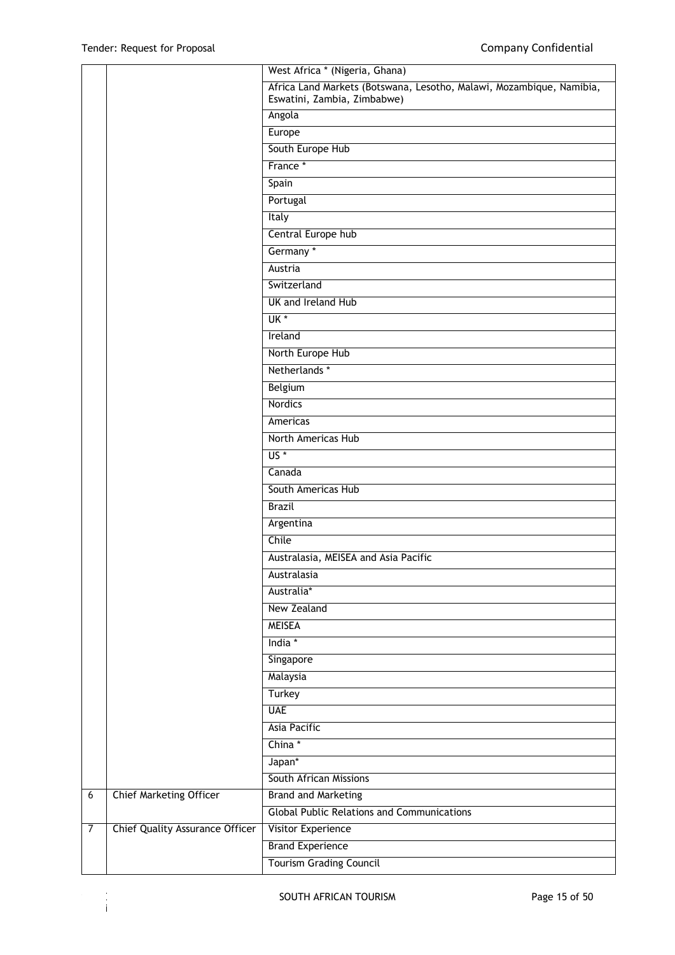Revision 3

|                |                                        | West Africa * (Nigeria, Ghana)                                                                      |
|----------------|----------------------------------------|-----------------------------------------------------------------------------------------------------|
|                |                                        | Africa Land Markets (Botswana, Lesotho, Malawi, Mozambique, Namibia,<br>Eswatini, Zambia, Zimbabwe) |
|                |                                        | Angola                                                                                              |
|                |                                        | Europe                                                                                              |
|                |                                        | South Europe Hub                                                                                    |
|                |                                        | France *                                                                                            |
|                |                                        | Spain                                                                                               |
|                |                                        | Portugal                                                                                            |
|                |                                        | Italy                                                                                               |
|                |                                        | Central Europe hub                                                                                  |
|                |                                        | Germany *                                                                                           |
|                |                                        | Austria                                                                                             |
|                |                                        | Switzerland                                                                                         |
|                |                                        | UK and Ireland Hub                                                                                  |
|                |                                        | UK *                                                                                                |
|                |                                        | Ireland                                                                                             |
|                |                                        | North Europe Hub                                                                                    |
|                |                                        | Netherlands *                                                                                       |
|                |                                        | Belgium                                                                                             |
|                |                                        | Nordics                                                                                             |
|                |                                        | Americas                                                                                            |
|                |                                        | North Americas Hub                                                                                  |
|                |                                        | $US*$                                                                                               |
|                |                                        | Canada                                                                                              |
|                |                                        | South Americas Hub                                                                                  |
|                |                                        | <b>Brazil</b>                                                                                       |
|                |                                        | Argentina                                                                                           |
|                |                                        | Chile                                                                                               |
|                |                                        | Australasia, MEISEA and Asia Pacific                                                                |
|                |                                        | Australasia                                                                                         |
|                |                                        | Australia*                                                                                          |
|                |                                        | New Zealand                                                                                         |
|                |                                        | <b>MEISEA</b>                                                                                       |
|                |                                        | India *                                                                                             |
|                |                                        | Singapore                                                                                           |
|                |                                        | Malaysia                                                                                            |
|                |                                        | Turkey                                                                                              |
|                |                                        | <b>UAE</b>                                                                                          |
|                |                                        | <b>Asia Pacific</b>                                                                                 |
|                |                                        | China*                                                                                              |
|                |                                        | Japan*                                                                                              |
|                |                                        | <b>South African Missions</b>                                                                       |
| $\overline{6}$ | <b>Chief Marketing Officer</b>         | <b>Brand and Marketing</b><br><b>Global Public Relations and Communications</b>                     |
| 7              |                                        |                                                                                                     |
|                | <b>Chief Quality Assurance Officer</b> | Visitor Experience<br><b>Brand Experience</b>                                                       |
|                |                                        | <b>Tourism Grading Council</b>                                                                      |
|                |                                        |                                                                                                     |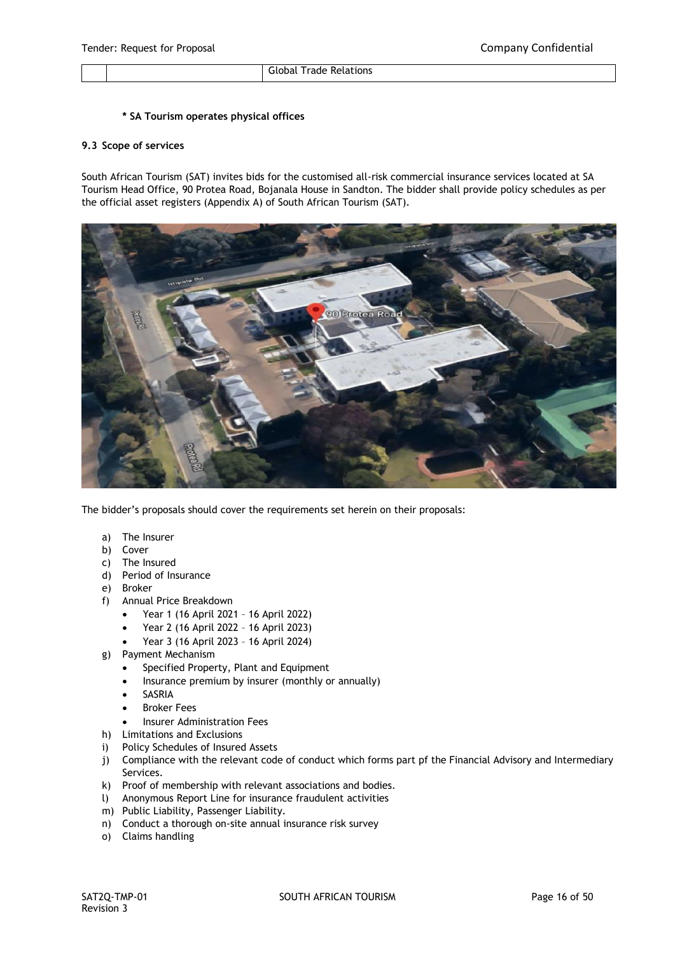Global Trade Relations

## **\* SA Tourism operates physical offices**

#### **9.3 Scope of services**

South African Tourism (SAT) invites bids for the customised all-risk commercial insurance services located at SA Tourism Head Office, 90 Protea Road, Bojanala House in Sandton. The bidder shall provide policy schedules as per the official asset registers (Appendix A) of South African Tourism (SAT).



The bidder's proposals should cover the requirements set herein on their proposals:

- a) The Insurer
- b) Cover
- c) The Insured
- d) Period of Insurance
- e) Broker
- f) Annual Price Breakdown
	- Year 1 (16 April 2021 16 April 2022)
	- Year 2 (16 April 2022 16 April 2023)
	- Year 3 (16 April 2023 16 April 2024)
- g) Payment Mechanism
	- Specified Property, Plant and Equipment
	- Insurance premium by insurer (monthly or annually)
	- SASRIA
	- Broker Fees
	- Insurer Administration Fees
- h) Limitations and Exclusions
- i) Policy Schedules of Insured Assets
- j) Compliance with the relevant code of conduct which forms part pf the Financial Advisory and Intermediary Services.
- k) Proof of membership with relevant associations and bodies.
- l) Anonymous Report Line for insurance fraudulent activities
- m) Public Liability, Passenger Liability.
- n) Conduct a thorough on-site annual insurance risk survey
- o) Claims handling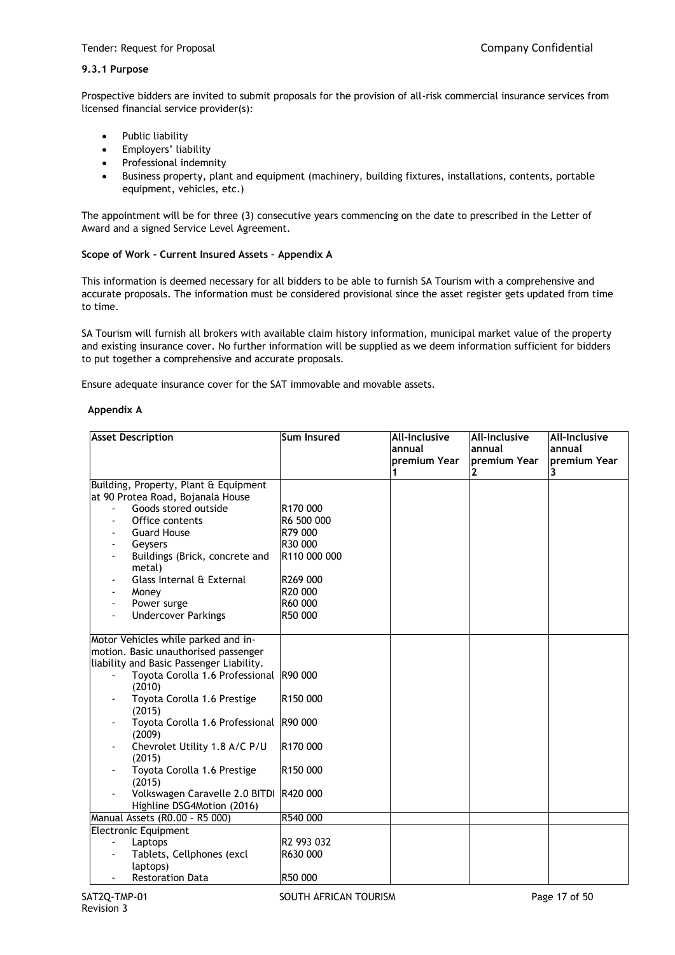## **9.3.1 Purpose**

Prospective bidders are invited to submit proposals for the provision of all-risk commercial insurance services from licensed financial service provider(s):

- Public liability
- Employers' liability
- Professional indemnity
- Business property, plant and equipment (machinery, building fixtures, installations, contents, portable equipment, vehicles, etc.)

The appointment will be for three (3) consecutive years commencing on the date to prescribed in the Letter of Award and a signed Service Level Agreement.

### **Scope of Work - Current Insured Assets – Appendix A**

This information is deemed necessary for all bidders to be able to furnish SA Tourism with a comprehensive and accurate proposals. The information must be considered provisional since the asset register gets updated from time to time.

SA Tourism will furnish all brokers with available claim history information, municipal market value of the property and existing insurance cover. No further information will be supplied as we deem information sufficient for bidders to put together a comprehensive and accurate proposals.

Ensure adequate insurance cover for the SAT immovable and movable assets.

#### **Appendix A**

| <b>Asset Description</b>                 | Sum Insured            | All-Inclusive | <b>All-Inclusive</b> | <b>All-Inclusive</b> |
|------------------------------------------|------------------------|---------------|----------------------|----------------------|
|                                          |                        | annual        | annual               | lannual              |
|                                          |                        | premium Year  | premium Year         | premium Year         |
|                                          |                        |               |                      | 3                    |
| Building, Property, Plant & Equipment    |                        |               |                      |                      |
| at 90 Protea Road, Bojanala House        |                        |               |                      |                      |
| Goods stored outside                     | R170 000               |               |                      |                      |
| Office contents                          | R6 500 000             |               |                      |                      |
| <b>Guard House</b>                       | R79 000                |               |                      |                      |
| Geysers                                  | R <sub>30</sub> 000    |               |                      |                      |
| Buildings (Brick, concrete and<br>metal) | R110 000 000           |               |                      |                      |
| Glass Internal & External                | R269 000               |               |                      |                      |
| Money                                    | R <sub>20</sub> 000    |               |                      |                      |
| Power surge                              | R60 000                |               |                      |                      |
| <b>Undercover Parkings</b>               | R50 000                |               |                      |                      |
|                                          |                        |               |                      |                      |
| Motor Vehicles while parked and in-      |                        |               |                      |                      |
| motion. Basic unauthorised passenger     |                        |               |                      |                      |
| liability and Basic Passenger Liability. |                        |               |                      |                      |
| Toyota Corolla 1.6 Professional R90 000  |                        |               |                      |                      |
| (2010)                                   |                        |               |                      |                      |
| Toyota Corolla 1.6 Prestige<br>(2015)    | R <sub>150</sub> 000   |               |                      |                      |
| Toyota Corolla 1.6 Professional          | R90 000                |               |                      |                      |
| (2009)                                   |                        |               |                      |                      |
| Chevrolet Utility 1.8 A/C P/U            | R <sub>170</sub> 000   |               |                      |                      |
| (2015)                                   |                        |               |                      |                      |
| Toyota Corolla 1.6 Prestige              | R <sub>150</sub> 000   |               |                      |                      |
| (2015)                                   |                        |               |                      |                      |
| Volkswagen Caravelle 2.0 BITDI           | R420 000               |               |                      |                      |
| Highline DSG4Motion (2016)               |                        |               |                      |                      |
| Manual Assets (R0.00 - R5 000)           | R540 000               |               |                      |                      |
| <b>Electronic Equipment</b>              |                        |               |                      |                      |
| Laptops                                  | R <sub>2</sub> 993 032 |               |                      |                      |
| Tablets, Cellphones (excl                | R630 000               |               |                      |                      |
| laptops)                                 |                        |               |                      |                      |
| <b>Restoration Data</b>                  | R50 000                |               |                      |                      |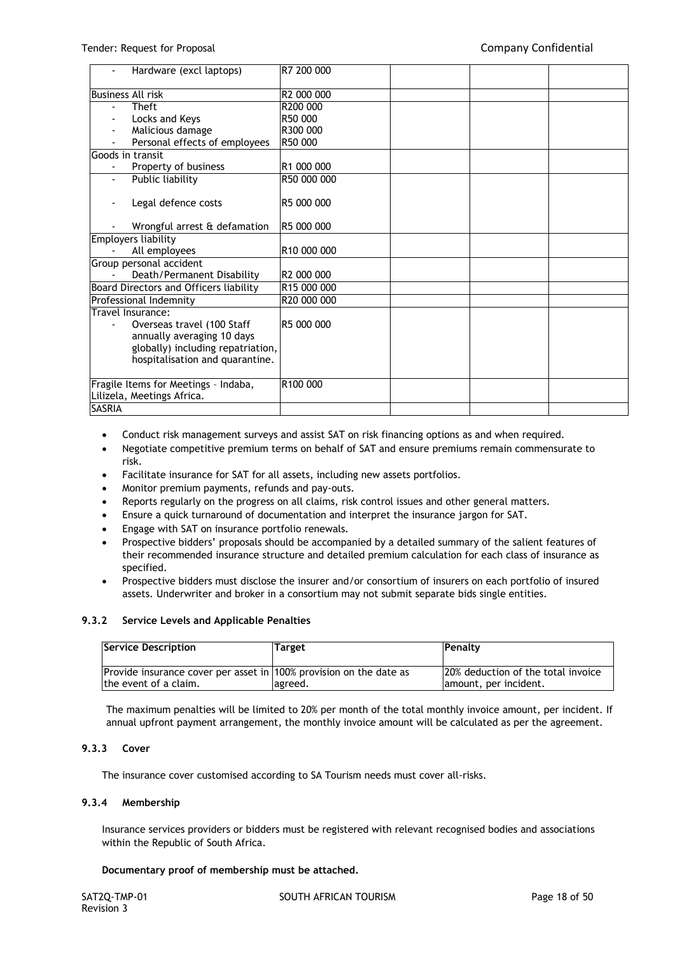| Hardware (excl laptops)                                                                                                          | R7 200 000              |  |  |
|----------------------------------------------------------------------------------------------------------------------------------|-------------------------|--|--|
| <b>Business All risk</b>                                                                                                         | R2 000 000              |  |  |
| Theft<br>$\overline{\phantom{a}}$                                                                                                | R200 000                |  |  |
| Locks and Keys                                                                                                                   | R50 000                 |  |  |
| Malicious damage                                                                                                                 | R300 000                |  |  |
| Personal effects of employees                                                                                                    | R50 000                 |  |  |
| Goods in transit                                                                                                                 |                         |  |  |
| Property of business<br>$\blacksquare$                                                                                           | R <sub>1</sub> 000 000  |  |  |
| Public liability                                                                                                                 | R50 000 000             |  |  |
| Legal defence costs                                                                                                              | R5 000 000              |  |  |
| Wrongful arrest & defamation                                                                                                     | R5 000 000              |  |  |
| <b>Employers liability</b>                                                                                                       |                         |  |  |
| All employees                                                                                                                    | R <sub>10</sub> 000 000 |  |  |
| Group personal accident                                                                                                          |                         |  |  |
| Death/Permanent Disability                                                                                                       | R2 000 000              |  |  |
| Board Directors and Officers liability                                                                                           | R15 000 000             |  |  |
| Professional Indemnity                                                                                                           | R20 000 000             |  |  |
| Travel Insurance:                                                                                                                |                         |  |  |
| Overseas travel (100 Staff<br>annually averaging 10 days<br>globally) including repatriation,<br>hospitalisation and quarantine. | R5 000 000              |  |  |
| Fragile Items for Meetings - Indaba,                                                                                             | R <sub>100</sub> 000    |  |  |
| Lilizela, Meetings Africa.                                                                                                       |                         |  |  |
| <b>SASRIA</b>                                                                                                                    |                         |  |  |

- Conduct risk management surveys and assist SAT on risk financing options as and when required.
- Negotiate competitive premium terms on behalf of SAT and ensure premiums remain commensurate to risk.
- Facilitate insurance for SAT for all assets, including new assets portfolios.
- Monitor premium payments, refunds and pay-outs.
- Reports regularly on the progress on all claims, risk control issues and other general matters.
- Ensure a quick turnaround of documentation and interpret the insurance jargon for SAT.
- Engage with SAT on insurance portfolio renewals.
- Prospective bidders' proposals should be accompanied by a detailed summary of the salient features of their recommended insurance structure and detailed premium calculation for each class of insurance as specified.
- Prospective bidders must disclose the insurer and/or consortium of insurers on each portfolio of insured assets. Underwriter and broker in a consortium may not submit separate bids single entities.

#### **9.3.2 Service Levels and Applicable Penalties**

| Service Description                                                                         | <b>Target</b> | Penalty                                                      |
|---------------------------------------------------------------------------------------------|---------------|--------------------------------------------------------------|
| Provide insurance cover per asset in 100% provision on the date as<br>the event of a claim. |               | 120% deduction of the total invoice<br>amount, per incident. |
|                                                                                             | lagreed.      |                                                              |

The maximum penalties will be limited to 20% per month of the total monthly invoice amount, per incident. If annual upfront payment arrangement, the monthly invoice amount will be calculated as per the agreement.

#### **9.3.3 Cover**

The insurance cover customised according to SA Tourism needs must cover all-risks.

#### **9.3.4 Membership**

Insurance services providers or bidders must be registered with relevant recognised bodies and associations within the Republic of South Africa.

#### **Documentary proof of membership must be attached.**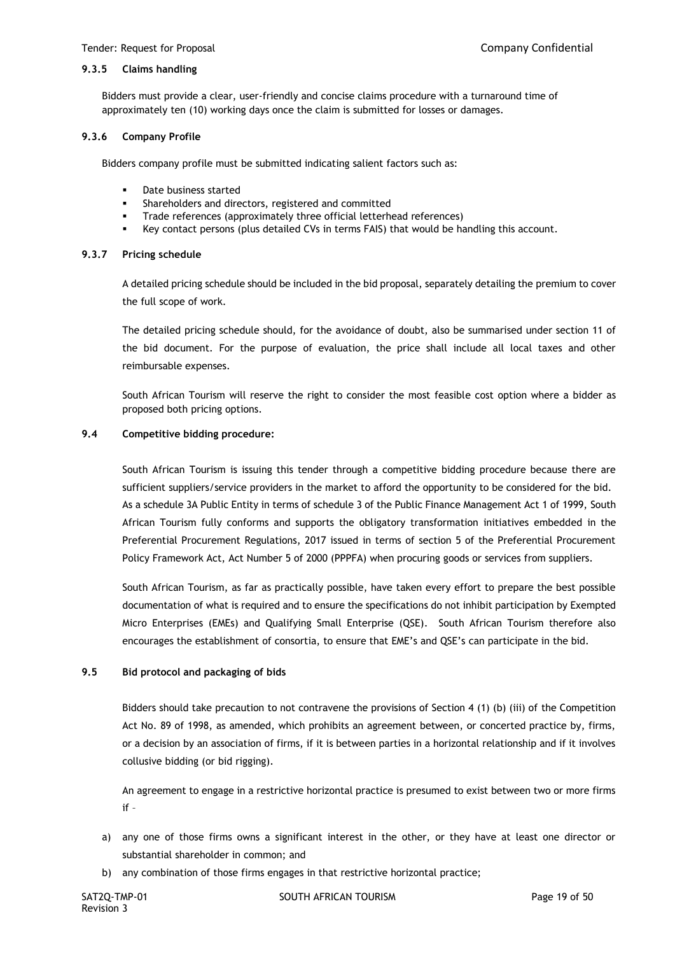#### **9.3.5 Claims handling**

Bidders must provide a clear, user-friendly and concise claims procedure with a turnaround time of approximately ten (10) working days once the claim is submitted for losses or damages.

#### **9.3.6 Company Profile**

Bidders company profile must be submitted indicating salient factors such as:

- Date business started
- Shareholders and directors, registered and committed
- Trade references (approximately three official letterhead references)
- Key contact persons (plus detailed CVs in terms FAIS) that would be handling this account.

#### **9.3.7 Pricing schedule**

A detailed pricing schedule should be included in the bid proposal, separately detailing the premium to cover the full scope of work.

The detailed pricing schedule should, for the avoidance of doubt, also be summarised under section 11 of the bid document. For the purpose of evaluation, the price shall include all local taxes and other reimbursable expenses.

South African Tourism will reserve the right to consider the most feasible cost option where a bidder as proposed both pricing options.

#### **9.4 Competitive bidding procedure:**

South African Tourism is issuing this tender through a competitive bidding procedure because there are sufficient suppliers/service providers in the market to afford the opportunity to be considered for the bid. As a schedule 3A Public Entity in terms of schedule 3 of the Public Finance Management Act 1 of 1999, South African Tourism fully conforms and supports the obligatory transformation initiatives embedded in the Preferential Procurement Regulations, 2017 issued in terms of section 5 of the Preferential Procurement Policy Framework Act, Act Number 5 of 2000 (PPPFA) when procuring goods or services from suppliers.

South African Tourism, as far as practically possible, have taken every effort to prepare the best possible documentation of what is required and to ensure the specifications do not inhibit participation by Exempted Micro Enterprises (EMEs) and Qualifying Small Enterprise (QSE). South African Tourism therefore also encourages the establishment of consortia, to ensure that EME's and QSE's can participate in the bid.

### **9.5 Bid protocol and packaging of bids**

Bidders should take precaution to not contravene the provisions of Section 4 (1) (b) (iii) of the Competition Act No. 89 of 1998, as amended, which prohibits an agreement between, or concerted practice by, firms, or a decision by an association of firms, if it is between parties in a horizontal relationship and if it involves collusive bidding (or bid rigging).

An agreement to engage in a restrictive horizontal practice is presumed to exist between two or more firms if –

- a) any one of those firms owns a significant interest in the other, or they have at least one director or substantial shareholder in common; and
- b) any combination of those firms engages in that restrictive horizontal practice;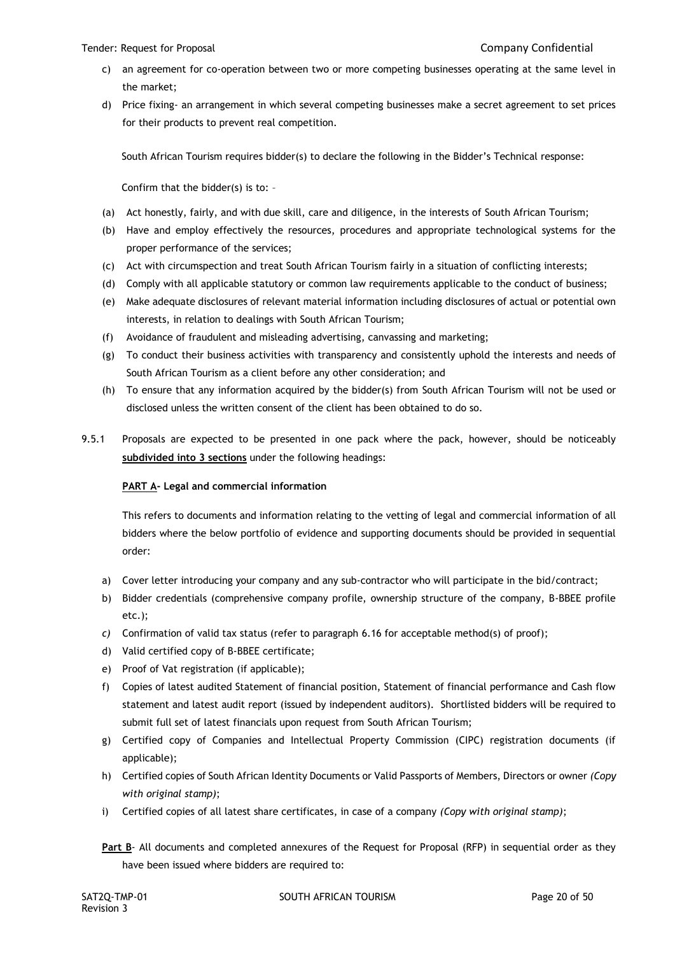#### Tender: Request for Proposal Company Confidential

- c) an agreement for co-operation between two or more competing businesses operating at the same level in the market;
- d) Price fixing- an arrangement in which several competing businesses make a secret agreement to set prices for their products to prevent real competition.

South African Tourism requires bidder(s) to declare the following in the Bidder's Technical response:

Confirm that the bidder(s) is to: –

- (a) Act honestly, fairly, and with due skill, care and diligence, in the interests of South African Tourism;
- (b) Have and employ effectively the resources, procedures and appropriate technological systems for the proper performance of the services;
- (c) Act with circumspection and treat South African Tourism fairly in a situation of conflicting interests;
- (d) Comply with all applicable statutory or common law requirements applicable to the conduct of business;
- (e) Make adequate disclosures of relevant material information including disclosures of actual or potential own interests, in relation to dealings with South African Tourism;
- (f) Avoidance of fraudulent and misleading advertising, canvassing and marketing;
- (g) To conduct their business activities with transparency and consistently uphold the interests and needs of South African Tourism as a client before any other consideration; and
- (h) To ensure that any information acquired by the bidder(s) from South African Tourism will not be used or disclosed unless the written consent of the client has been obtained to do so.
- 9.5.1 Proposals are expected to be presented in one pack where the pack, however, should be noticeably **subdivided into 3 sections** under the following headings:

### **PART A- Legal and commercial information**

This refers to documents and information relating to the vetting of legal and commercial information of all bidders where the below portfolio of evidence and supporting documents should be provided in sequential order:

- a) Cover letter introducing your company and any sub-contractor who will participate in the bid/contract;
- b) Bidder credentials (comprehensive company profile, ownership structure of the company, B-BBEE profile etc.);
- *c)* Confirmation of valid tax status (refer to paragraph 6.16 for acceptable method(s) of proof);
- d) Valid certified copy of B-BBEE certificate;
- e) Proof of Vat registration (if applicable);
- f) Copies of latest audited Statement of financial position, Statement of financial performance and Cash flow statement and latest audit report (issued by independent auditors). Shortlisted bidders will be required to submit full set of latest financials upon request from South African Tourism;
- g) Certified copy of Companies and Intellectual Property Commission (CIPC) registration documents (if applicable);
- h) Certified copies of South African Identity Documents or Valid Passports of Members, Directors or owner *(Copy with original stamp)*;
- i) Certified copies of all latest share certificates, in case of a company *(Copy with original stamp)*;

**Part B**- All documents and completed annexures of the Request for Proposal (RFP) in sequential order as they have been issued where bidders are required to: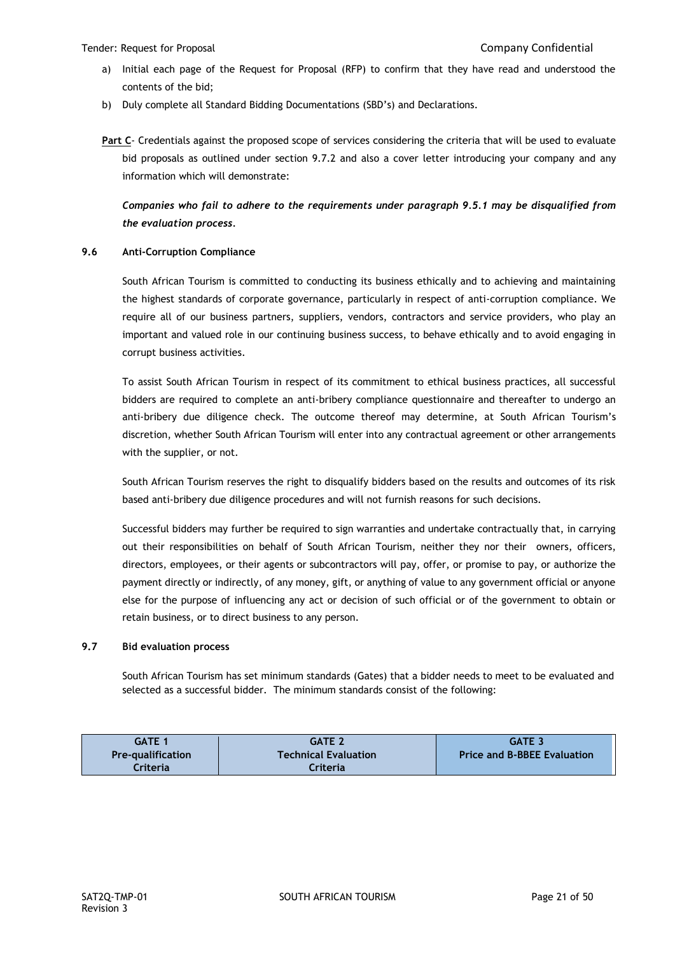- a) Initial each page of the Request for Proposal (RFP) to confirm that they have read and understood the contents of the bid;
- b) Duly complete all Standard Bidding Documentations (SBD's) and Declarations.

**Part C**- Credentials against the proposed scope of services considering the criteria that will be used to evaluate bid proposals as outlined under section 9.7.2 and also a cover letter introducing your company and any information which will demonstrate:

*Companies who fail to adhere to the requirements under paragraph 9.5.1 may be disqualified from the evaluation process.*

### **9.6 Anti-Corruption Compliance**

South African Tourism is committed to conducting its business ethically and to achieving and maintaining the highest standards of corporate governance, particularly in respect of anti-corruption compliance. We require all of our business partners, suppliers, vendors, contractors and service providers, who play an important and valued role in our continuing business success, to behave ethically and to avoid engaging in corrupt business activities.

To assist South African Tourism in respect of its commitment to ethical business practices, all successful bidders are required to complete an anti-bribery compliance questionnaire and thereafter to undergo an anti-bribery due diligence check. The outcome thereof may determine, at South African Tourism's discretion, whether South African Tourism will enter into any contractual agreement or other arrangements with the supplier, or not.

South African Tourism reserves the right to disqualify bidders based on the results and outcomes of its risk based anti-bribery due diligence procedures and will not furnish reasons for such decisions.

Successful bidders may further be required to sign warranties and undertake contractually that, in carrying out their responsibilities on behalf of South African Tourism, neither they nor their owners, officers, directors, employees, or their agents or subcontractors will pay, offer, or promise to pay, or authorize the payment directly or indirectly, of any money, gift, or anything of value to any government official or anyone else for the purpose of influencing any act or decision of such official or of the government to obtain or retain business, or to direct business to any person.

### **9.7 Bid evaluation process**

South African Tourism has set minimum standards (Gates) that a bidder needs to meet to be evaluated and selected as a successful bidder. The minimum standards consist of the following:

| <b>GATE 1</b>            | <b>GATE 2</b>               | <b>GATE 3</b>                      |
|--------------------------|-----------------------------|------------------------------------|
| <b>Pre-qualification</b> | <b>Technical Evaluation</b> | <b>Price and B-BBEE Evaluation</b> |
| Criterial                | Criteria                    |                                    |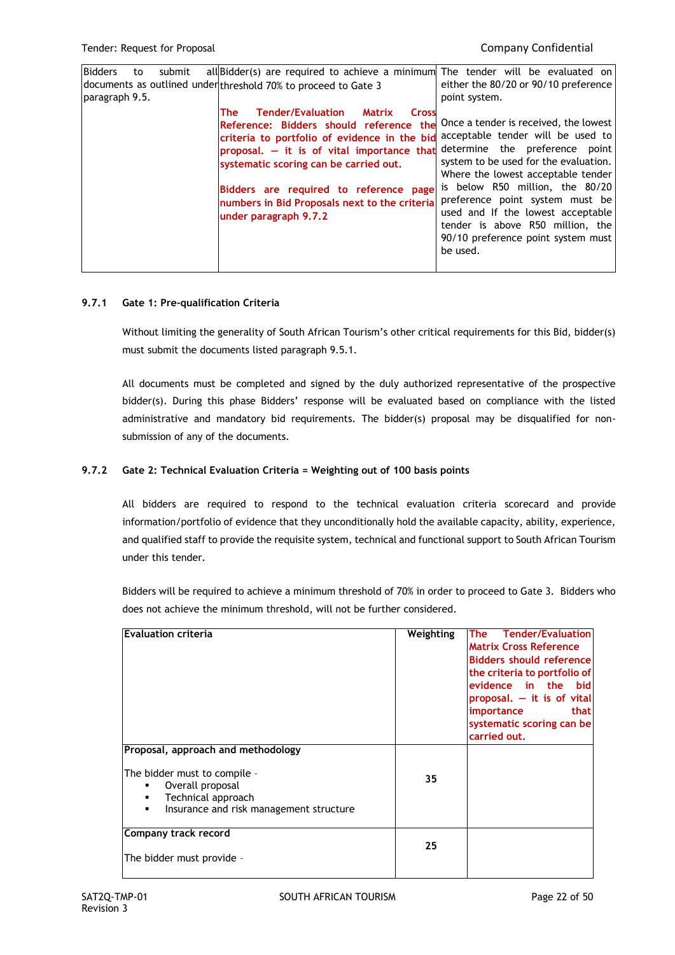| <b>Bidders</b><br>submit<br>to<br>paragraph 9.5. | all Bidder(s) are required to achieve a minimum The tender will be evaluated on<br>documents as outlined under threshold 70% to proceed to Gate 3                                                                                                                                                                                                                                                                | either the 80/20 or 90/10 preference<br>point system.                                                                                                                                                                                                                                                                                                      |
|--------------------------------------------------|------------------------------------------------------------------------------------------------------------------------------------------------------------------------------------------------------------------------------------------------------------------------------------------------------------------------------------------------------------------------------------------------------------------|------------------------------------------------------------------------------------------------------------------------------------------------------------------------------------------------------------------------------------------------------------------------------------------------------------------------------------------------------------|
|                                                  | <b>Tender/Evaluation</b><br><b>The</b><br><b>Matrix</b><br><b>Cross</b><br>Reference: Bidders should reference<br>the<br>criteria to portfolio of evidence in the bid<br>proposal. - it is of vital importance that determine the preference point<br>systematic scoring can be carried out.<br>Bidders are required to reference page<br>numbers in Bid Proposals next to the criteria<br>under paragraph 9.7.2 | Once a tender is received, the lowest<br>acceptable tender will be used to<br>system to be used for the evaluation.<br>Where the lowest acceptable tender<br>is below R50 million, the 80/20<br>preference point system must be<br>used and If the lowest acceptable<br>tender is above R50 million, the<br>90/10 preference point system must<br>be used. |

### **9.7.1 Gate 1: Pre-qualification Criteria**

Without limiting the generality of South African Tourism's other critical requirements for this Bid, bidder(s) must submit the documents listed paragraph 9.5.1.

All documents must be completed and signed by the duly authorized representative of the prospective bidder(s). During this phase Bidders' response will be evaluated based on compliance with the listed administrative and mandatory bid requirements. The bidder(s) proposal may be disqualified for nonsubmission of any of the documents.

# **9.7.2 Gate 2: Technical Evaluation Criteria = Weighting out of 100 basis points**

All bidders are required to respond to the technical evaluation criteria scorecard and provide information/portfolio of evidence that they unconditionally hold the available capacity, ability, experience, and qualified staff to provide the requisite system, technical and functional support to South African Tourism under this tender.

Bidders will be required to achieve a minimum threshold of 70% in order to proceed to Gate 3. Bidders who does not achieve the minimum threshold, will not be further considered.

| <b>Evaluation criteria</b>                                                                                                               | Weighting | <b>Tender/Evaluation</b><br>The<br><b>Matrix Cross Reference</b><br><b>Bidders should reference</b><br>the criteria to portfolio of<br>evidence in the bid<br>proposal. $-$ it is of vital<br>importance<br>that<br>systematic scoring can be<br>carried out. |
|------------------------------------------------------------------------------------------------------------------------------------------|-----------|---------------------------------------------------------------------------------------------------------------------------------------------------------------------------------------------------------------------------------------------------------------|
| Proposal, approach and methodology                                                                                                       |           |                                                                                                                                                                                                                                                               |
| The bidder must to compile -<br>Overall proposal<br>٠<br>Technical approach<br>Insurance and risk management structure<br>$\blacksquare$ | 35        |                                                                                                                                                                                                                                                               |
| Company track record                                                                                                                     | 25        |                                                                                                                                                                                                                                                               |
| The bidder must provide -                                                                                                                |           |                                                                                                                                                                                                                                                               |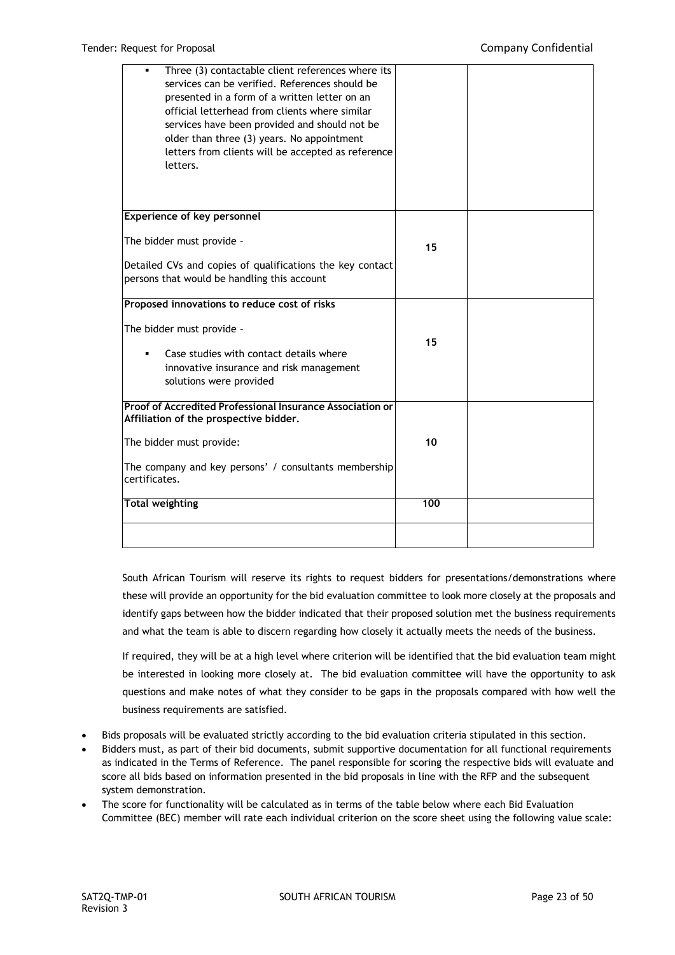| Three (3) contactable client references where its<br>services can be verified. References should be<br>presented in a form of a written letter on an<br>official letterhead from clients where similar<br>services have been provided and should not be<br>older than three (3) years. No appointment<br>letters from clients will be accepted as reference<br>letters. |     |  |
|-------------------------------------------------------------------------------------------------------------------------------------------------------------------------------------------------------------------------------------------------------------------------------------------------------------------------------------------------------------------------|-----|--|
| <b>Experience of key personnel</b>                                                                                                                                                                                                                                                                                                                                      |     |  |
| The bidder must provide -                                                                                                                                                                                                                                                                                                                                               | 15  |  |
| Detailed CVs and copies of qualifications the key contact<br>persons that would be handling this account                                                                                                                                                                                                                                                                |     |  |
| Proposed innovations to reduce cost of risks                                                                                                                                                                                                                                                                                                                            |     |  |
| The bidder must provide -<br>Case studies with contact details where<br>innovative insurance and risk management<br>solutions were provided                                                                                                                                                                                                                             | 15  |  |
| Proof of Accredited Professional Insurance Association or<br>Affiliation of the prospective bidder.                                                                                                                                                                                                                                                                     |     |  |
| The bidder must provide:                                                                                                                                                                                                                                                                                                                                                | 10  |  |
| The company and key persons' / consultants membership<br>certificates.                                                                                                                                                                                                                                                                                                  |     |  |
| <b>Total weighting</b>                                                                                                                                                                                                                                                                                                                                                  | 100 |  |
|                                                                                                                                                                                                                                                                                                                                                                         |     |  |

South African Tourism will reserve its rights to request bidders for presentations/demonstrations where these will provide an opportunity for the bid evaluation committee to look more closely at the proposals and identify gaps between how the bidder indicated that their proposed solution met the business requirements and what the team is able to discern regarding how closely it actually meets the needs of the business.

If required, they will be at a high level where criterion will be identified that the bid evaluation team might be interested in looking more closely at. The bid evaluation committee will have the opportunity to ask questions and make notes of what they consider to be gaps in the proposals compared with how well the business requirements are satisfied.

- Bids proposals will be evaluated strictly according to the bid evaluation criteria stipulated in this section.
- Bidders must, as part of their bid documents, submit supportive documentation for all functional requirements as indicated in the Terms of Reference. The panel responsible for scoring the respective bids will evaluate and score all bids based on information presented in the bid proposals in line with the RFP and the subsequent system demonstration.
- The score for functionality will be calculated as in terms of the table below where each Bid Evaluation Committee (BEC) member will rate each individual criterion on the score sheet using the following value scale: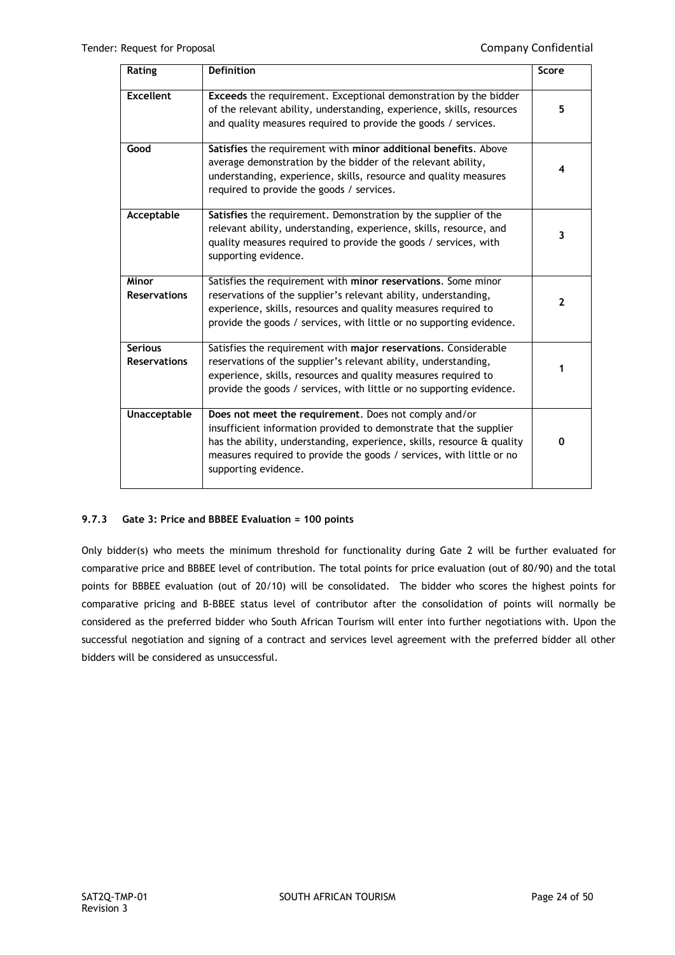| Rating                                | <b>Definition</b>                                                                                                                                                                                                                                                                                     | Score        |
|---------------------------------------|-------------------------------------------------------------------------------------------------------------------------------------------------------------------------------------------------------------------------------------------------------------------------------------------------------|--------------|
| <b>Excellent</b>                      | Exceeds the requirement. Exceptional demonstration by the bidder<br>of the relevant ability, understanding, experience, skills, resources<br>and quality measures required to provide the goods / services.                                                                                           | 5            |
| Good                                  | Satisfies the requirement with minor additional benefits. Above<br>average demonstration by the bidder of the relevant ability,<br>understanding, experience, skills, resource and quality measures<br>required to provide the goods / services.                                                      | 4            |
| Acceptable                            | Satisfies the requirement. Demonstration by the supplier of the<br>relevant ability, understanding, experience, skills, resource, and<br>quality measures required to provide the goods / services, with<br>supporting evidence.                                                                      | 3            |
| <b>Minor</b><br><b>Reservations</b>   | Satisfies the requirement with minor reservations. Some minor<br>reservations of the supplier's relevant ability, understanding,<br>experience, skills, resources and quality measures required to<br>provide the goods / services, with little or no supporting evidence.                            | $\mathbf{2}$ |
| <b>Serious</b><br><b>Reservations</b> | Satisfies the requirement with major reservations. Considerable<br>reservations of the supplier's relevant ability, understanding,<br>experience, skills, resources and quality measures required to<br>provide the goods / services, with little or no supporting evidence.                          | 1            |
| Unacceptable                          | Does not meet the requirement. Does not comply and/or<br>insufficient information provided to demonstrate that the supplier<br>has the ability, understanding, experience, skills, resource & quality<br>measures required to provide the goods / services, with little or no<br>supporting evidence. | 0            |

# **9.7.3 Gate 3: Price and BBBEE Evaluation = 100 points**

Only bidder(s) who meets the minimum threshold for functionality during Gate 2 will be further evaluated for comparative price and BBBEE level of contribution. The total points for price evaluation (out of 80/90) and the total points for BBBEE evaluation (out of 20/10) will be consolidated. The bidder who scores the highest points for comparative pricing and B-BBEE status level of contributor after the consolidation of points will normally be considered as the preferred bidder who South African Tourism will enter into further negotiations with. Upon the successful negotiation and signing of a contract and services level agreement with the preferred bidder all other bidders will be considered as unsuccessful.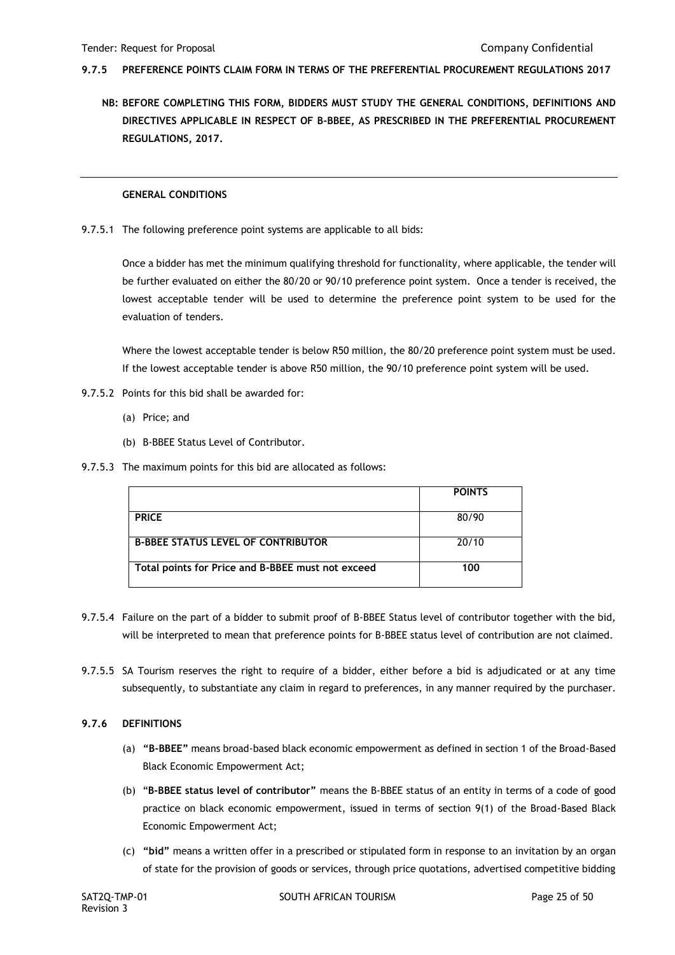- **9.7.5 PREFERENCE POINTS CLAIM FORM IN TERMS OF THE PREFERENTIAL PROCUREMENT REGULATIONS 2017**
	- **NB: BEFORE COMPLETING THIS FORM, BIDDERS MUST STUDY THE GENERAL CONDITIONS, DEFINITIONS AND DIRECTIVES APPLICABLE IN RESPECT OF B-BBEE, AS PRESCRIBED IN THE PREFERENTIAL PROCUREMENT REGULATIONS, 2017.**

#### **GENERAL CONDITIONS**

9.7.5.1 The following preference point systems are applicable to all bids:

Once a bidder has met the minimum qualifying threshold for functionality, where applicable, the tender will be further evaluated on either the 80/20 or 90/10 preference point system. Once a tender is received, the lowest acceptable tender will be used to determine the preference point system to be used for the evaluation of tenders.

Where the lowest acceptable tender is below R50 million, the 80/20 preference point system must be used. If the lowest acceptable tender is above R50 million, the 90/10 preference point system will be used.

- 9.7.5.2 Points for this bid shall be awarded for:
	- (a) Price; and
	- (b) B-BBEE Status Level of Contributor.
- 9.7.5.3 The maximum points for this bid are allocated as follows:

|                                                   | <b>POINTS</b> |
|---------------------------------------------------|---------------|
|                                                   |               |
| <b>PRICE</b>                                      | 80/90         |
|                                                   |               |
| <b>B-BBEE STATUS LEVEL OF CONTRIBUTOR</b>         | 20/10         |
|                                                   |               |
| Total points for Price and B-BBEE must not exceed | 100           |
|                                                   |               |

- 9.7.5.4 Failure on the part of a bidder to submit proof of B-BBEE Status level of contributor together with the bid, will be interpreted to mean that preference points for B-BBEE status level of contribution are not claimed.
- 9.7.5.5 SA Tourism reserves the right to require of a bidder, either before a bid is adjudicated or at any time subsequently, to substantiate any claim in regard to preferences, in any manner required by the purchaser.

### **9.7.6 DEFINITIONS**

- (a) **"B-BBEE"** means broad-based black economic empowerment as defined in section 1 of the Broad-Based Black Economic Empowerment Act;
- (b) "**B-BBEE status level of contributor"** means the B-BBEE status of an entity in terms of a code of good practice on black economic empowerment, issued in terms of section 9(1) of the Broad-Based Black Economic Empowerment Act;
- (c) **"bid"** means a written offer in a prescribed or stipulated form in response to an invitation by an organ of state for the provision of goods or services, through price quotations, advertised competitive bidding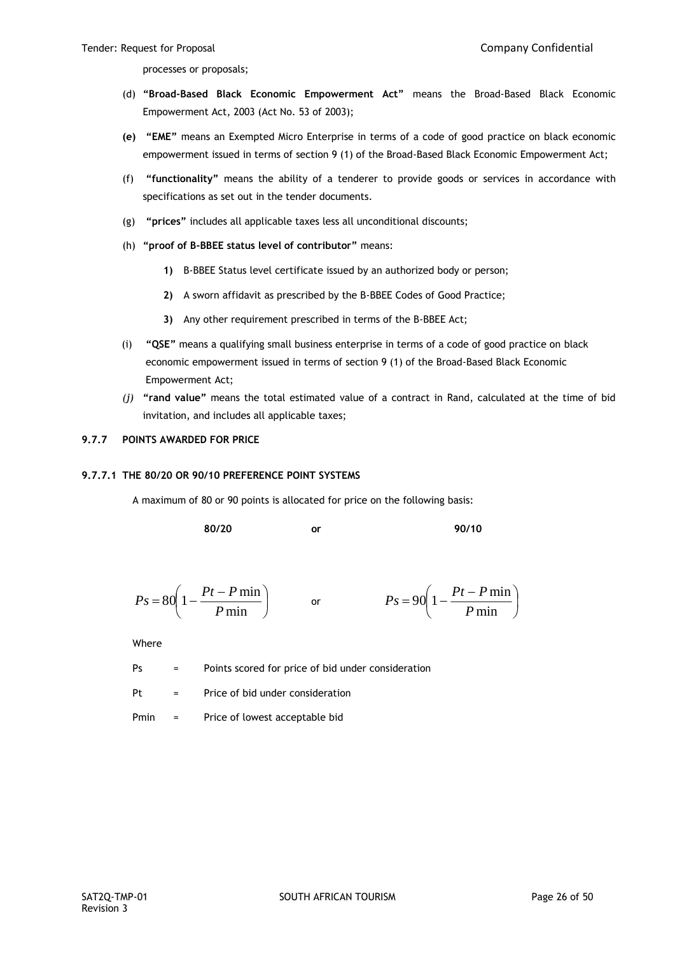processes or proposals;

- (d) **"Broad-Based Black Economic Empowerment Act"** means the Broad-Based Black Economic Empowerment Act, 2003 (Act No. 53 of 2003);
- **(e) "EME"** means an Exempted Micro Enterprise in terms of a code of good practice on black economic empowerment issued in terms of section 9 (1) of the Broad-Based Black Economic Empowerment Act;
- (f) **"functionality"** means the ability of a tenderer to provide goods or services in accordance with specifications as set out in the tender documents.
- (g) **"prices"** includes all applicable taxes less all unconditional discounts;
- (h) **"proof of B-BBEE status level of contributor"** means:
	- **1)** B-BBEE Status level certificate issued by an authorized body or person;
	- **2)** A sworn affidavit as prescribed by the B-BBEE Codes of Good Practice;
	- **3)** Any other requirement prescribed in terms of the B-BBEE Act;
- (i) **"QSE"** means a qualifying small business enterprise in terms of a code of good practice on black economic empowerment issued in terms of section 9 (1) of the Broad-Based Black Economic Empowerment Act;
- *(j)* **"rand value"** means the total estimated value of a contract in Rand, calculated at the time of bid invitation, and includes all applicable taxes;

# **9.7.7 POINTS AWARDED FOR PRICE**

#### **9.7.7.1 THE 80/20 OR 90/10 PREFERENCE POINT SYSTEMS**

A maximum of 80 or 90 points is allocated for price on the following basis:

**80/20 or 90/10**

$$
Ps = 80\left(1 - \frac{Pt - P\min P}{\min}\right) \qquad \text{or} \qquad \qquad Ps = 90\left(1 - \frac{Pt - P\min P}{\min}\right)
$$

Where

Ps = Points scored for price of bid under consideration

 $Pt =$  Price of bid under consideration

Pmin = Price of lowest acceptable bid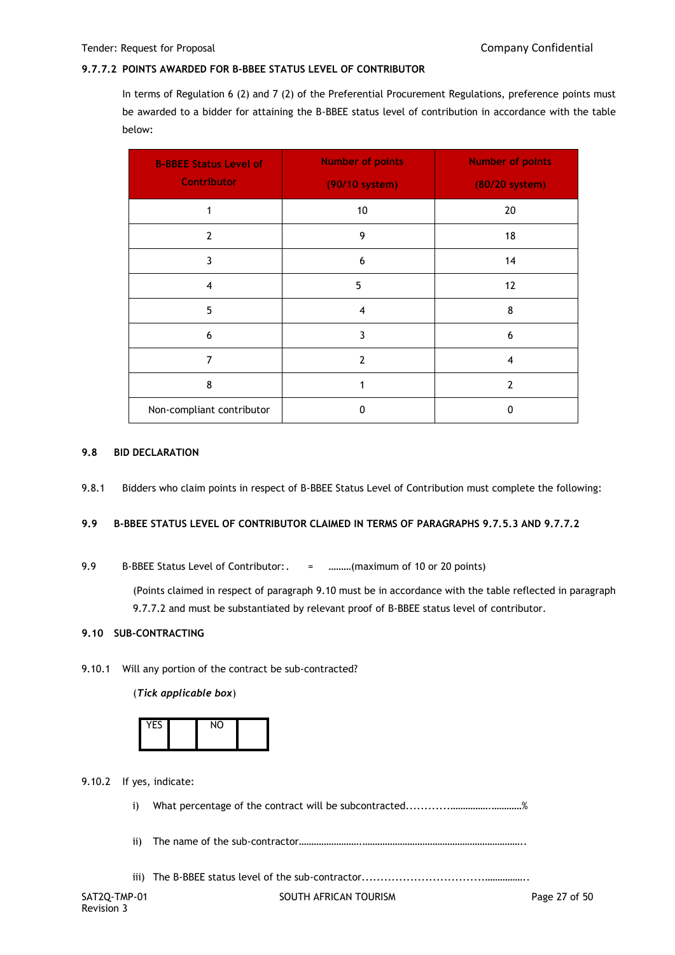## **9.7.7.2 POINTS AWARDED FOR B-BBEE STATUS LEVEL OF CONTRIBUTOR**

In terms of Regulation 6 (2) and 7 (2) of the Preferential Procurement Regulations, preference points must be awarded to a bidder for attaining the B-BBEE status level of contribution in accordance with the table below:

| <b>B-BBEE Status Level of</b><br><b>Contributor</b> | <b>Number of points</b><br>(90/10 system) | <b>Number of points</b><br>(80/20 system) |
|-----------------------------------------------------|-------------------------------------------|-------------------------------------------|
| 1                                                   | 10                                        | 20                                        |
| $\overline{2}$                                      | 9                                         | 18                                        |
| 3                                                   | 6                                         | 14                                        |
| $\overline{4}$                                      | 5                                         | 12                                        |
| 5                                                   | $\overline{4}$                            | 8                                         |
| 6                                                   | 3                                         | 6                                         |
| 7                                                   | $\overline{2}$                            | 4                                         |
| 8                                                   | 1                                         | $\overline{2}$                            |
| Non-compliant contributor                           | $\Omega$                                  | 0                                         |

#### **9.8 BID DECLARATION**

9.8.1 Bidders who claim points in respect of B-BBEE Status Level of Contribution must complete the following:

# **9.9 B-BBEE STATUS LEVEL OF CONTRIBUTOR CLAIMED IN TERMS OF PARAGRAPHS 9.7.5.3 AND 9.7.7.2**

9.9 B-BBEE Status Level of Contributor:. = ………(maximum of 10 or 20 points)

(Points claimed in respect of paragraph 9.10 must be in accordance with the table reflected in paragraph 9.7.7.2 and must be substantiated by relevant proof of B-BBEE status level of contributor.

### **9.10 SUB-CONTRACTING**

9.10.1 Will any portion of the contract be sub-contracted?

(*Tick applicable box*)

| <b>YFS</b> | NO |  |
|------------|----|--|
|            |    |  |

9.10.2 If yes, indicate:

i) What percentage of the contract will be subcontracted............…………….…………%

ii) The name of the sub-contractor…………………….………………………………………………………..

iii) The B-BBEE status level of the sub-contractor.................................……………..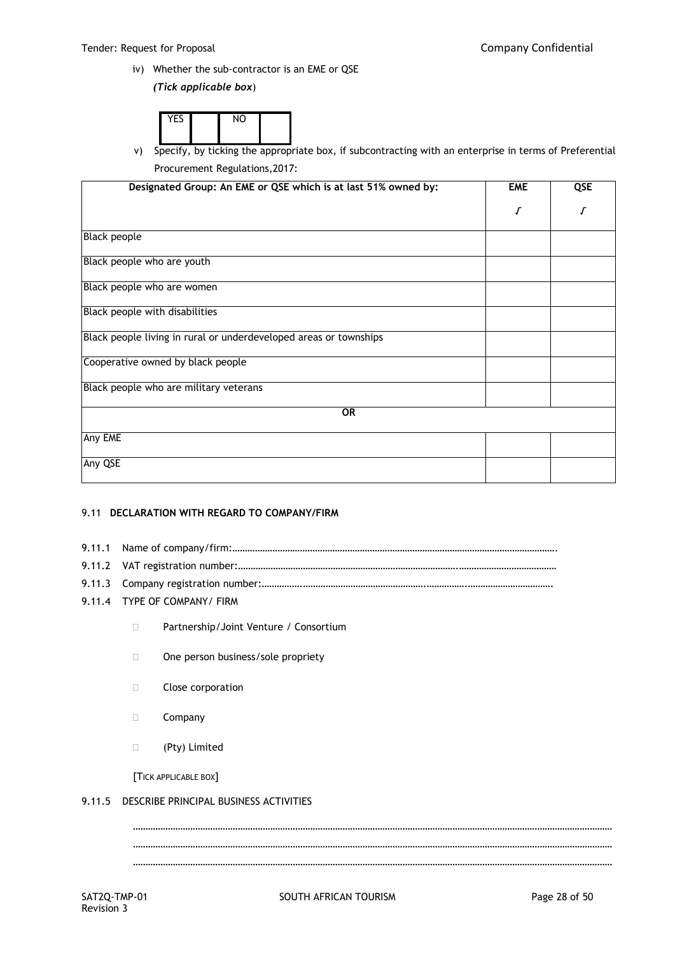iv) Whether the sub-contractor is an EME or QSE

*(Tick applicable box*)

| $V = C$ | <b>A</b> 14 |  |
|---------|-------------|--|
|         |             |  |

v) Specify, by ticking the appropriate box, if subcontracting with an enterprise in terms of Preferential Procurement Regulations,2017:

| Designated Group: An EME or QSE which is at last 51% owned by:    | <b>EME</b> | QSE |
|-------------------------------------------------------------------|------------|-----|
|                                                                   | Г          |     |
| Black people                                                      |            |     |
| Black people who are youth                                        |            |     |
| Black people who are women                                        |            |     |
| Black people with disabilities                                    |            |     |
| Black people living in rural or underdeveloped areas or townships |            |     |
| Cooperative owned by black people                                 |            |     |
| Black people who are military veterans                            |            |     |
| OR                                                                |            |     |
| Any EME                                                           |            |     |
| Any QSE                                                           |            |     |

### 9.11 **DECLARATION WITH REGARD TO COMPANY/FIRM**

- 9.11.1 Name of company/firm:………………………………………………………………………………………………………………….
- 9.11.2 VAT registration number:…………………………………………………………………………….…………………………………
- 9.11.3 Company registration number:…………….………………………………………….…………….…………………………….
- 9.11.4 TYPE OF COMPANY/ FIRM
	- □ Partnership/Joint Venture / Consortium
	- □ One person business/sole propriety
	- **Close corporation**
	- D Company
	- (Pty) Limited

[TICK APPLICABLE BOX]

# 9.11.5 DESCRIBE PRINCIPAL BUSINESS ACTIVITIES

SAT2Q-TMP-01 SOUTH AFRICAN TOURISM SAT2Q-TMP-01 Page 28 of 50 ………………………………………………………………………………………………………………………………………………………………………… ………………………………………………………………………………………………………………………………………………………………………… …………………………………………………………………………………………………………………………………………………………………………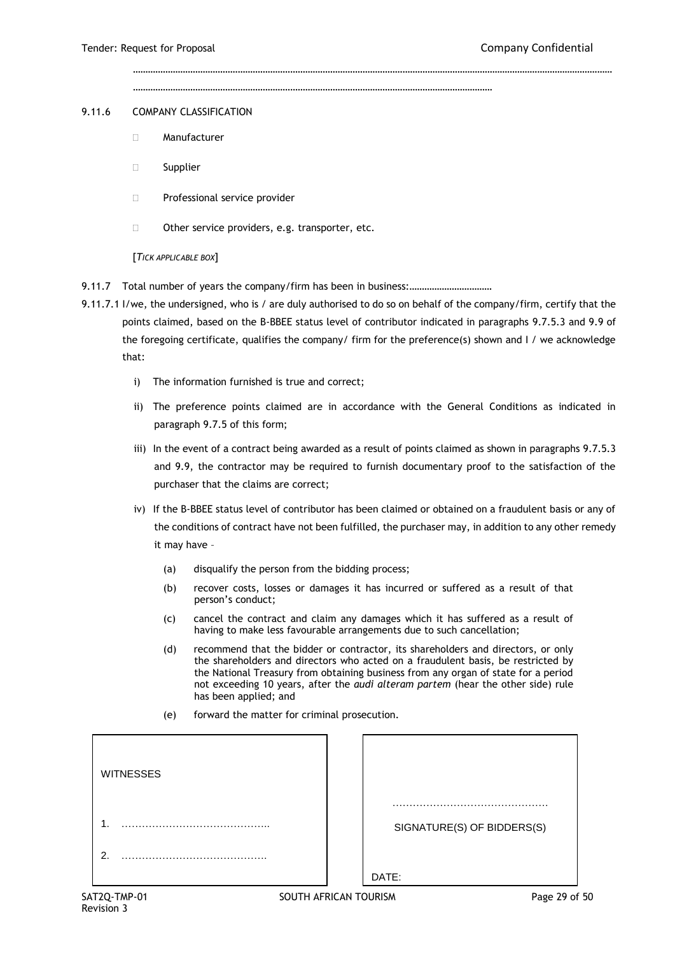………………………………………………………………………………………………………………………………

…………………………………………………………………………………………………………………………………………………………………………

#### 9.11.6 COMPANY CLASSIFICATION

- Manufacturer
- □ Supplier
- **Professional service provider**
- $\Box$  Other service providers, e.g. transporter, etc.

#### [*TICK APPLICABLE BOX*]

9.11.7 Total number of years the company/firm has been in business:.................................

- 9.11.7.1 I/we, the undersigned, who is / are duly authorised to do so on behalf of the company/firm, certify that the points claimed, based on the B-BBEE status level of contributor indicated in paragraphs 9.7.5.3 and 9.9 of the foregoing certificate, qualifies the company/ firm for the preference(s) shown and I / we acknowledge that:
	- i) The information furnished is true and correct;
	- ii) The preference points claimed are in accordance with the General Conditions as indicated in paragraph 9.7.5 of this form;
	- iii) In the event of a contract being awarded as a result of points claimed as shown in paragraphs 9.7.5.3 and 9.9, the contractor may be required to furnish documentary proof to the satisfaction of the purchaser that the claims are correct;
	- iv) If the B-BBEE status level of contributor has been claimed or obtained on a fraudulent basis or any of the conditions of contract have not been fulfilled, the purchaser may, in addition to any other remedy it may have –
		- (a) disqualify the person from the bidding process;
		- (b) recover costs, losses or damages it has incurred or suffered as a result of that person's conduct;
		- (c) cancel the contract and claim any damages which it has suffered as a result of having to make less favourable arrangements due to such cancellation;
		- (d) recommend that the bidder or contractor, its shareholders and directors, or only the shareholders and directors who acted on a fraudulent basis, be restricted by the National Treasury from obtaining business from any organ of state for a period not exceeding 10 years, after the *audi alteram partem* (hear the other side) rule has been applied; and
		- (e) forward the matter for criminal prosecution.

| <b>WITNESSES</b> |                            |
|------------------|----------------------------|
| ٠                | SIGNATURE(S) OF BIDDERS(S) |
| ົ                | DATE:                      |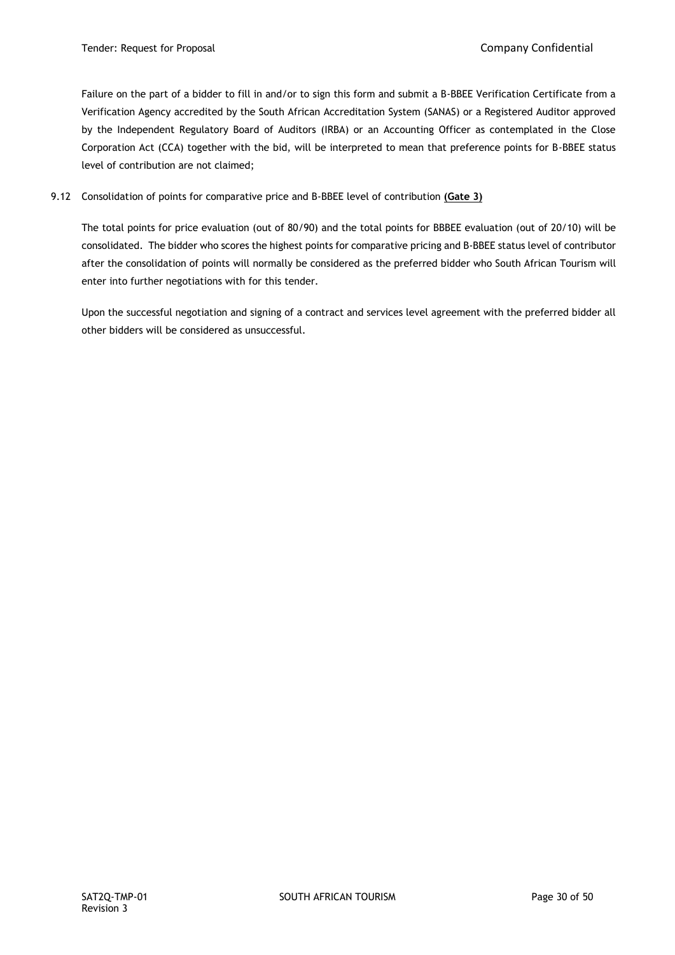Failure on the part of a bidder to fill in and/or to sign this form and submit a B-BBEE Verification Certificate from a Verification Agency accredited by the South African Accreditation System (SANAS) or a Registered Auditor approved by the Independent Regulatory Board of Auditors (IRBA) or an Accounting Officer as contemplated in the Close Corporation Act (CCA) together with the bid, will be interpreted to mean that preference points for B-BBEE status level of contribution are not claimed;

# 9.12 Consolidation of points for comparative price and B-BBEE level of contribution **(Gate 3)**

The total points for price evaluation (out of 80/90) and the total points for BBBEE evaluation (out of 20/10) will be consolidated. The bidder who scores the highest points for comparative pricing and B-BBEE status level of contributor after the consolidation of points will normally be considered as the preferred bidder who South African Tourism will enter into further negotiations with for this tender.

Upon the successful negotiation and signing of a contract and services level agreement with the preferred bidder all other bidders will be considered as unsuccessful.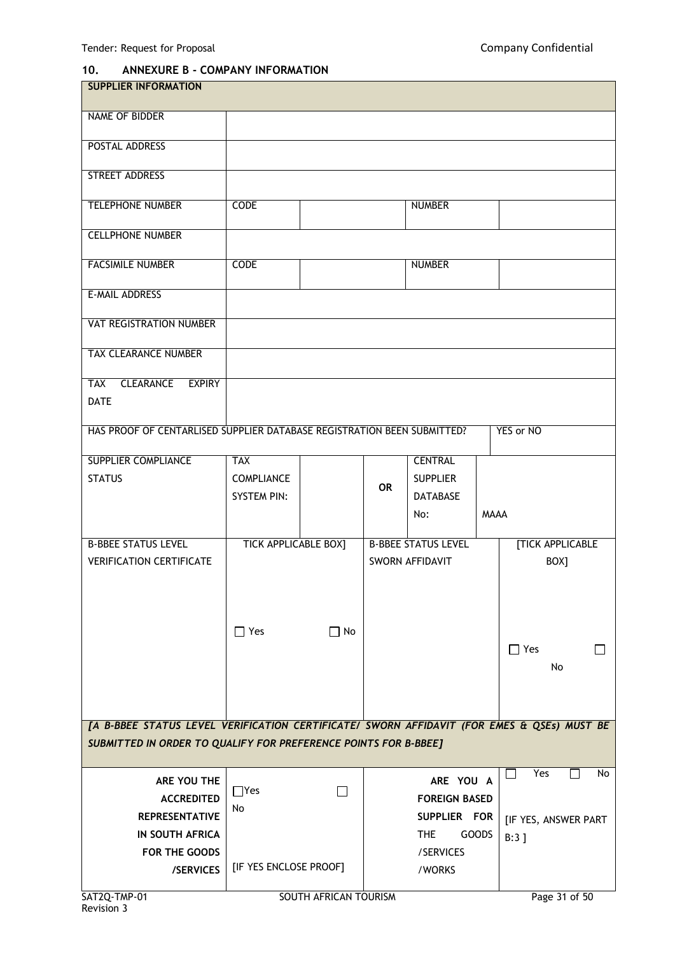# **10. ANNEXURE B - COMPANY INFORMATION**

| <b>SUPPLIER INFORMATION</b>                                                                |                             |                       |           |                            |             |                         |
|--------------------------------------------------------------------------------------------|-----------------------------|-----------------------|-----------|----------------------------|-------------|-------------------------|
| <b>NAME OF BIDDER</b>                                                                      |                             |                       |           |                            |             |                         |
|                                                                                            |                             |                       |           |                            |             |                         |
| POSTAL ADDRESS                                                                             |                             |                       |           |                            |             |                         |
| STREET ADDRESS                                                                             |                             |                       |           |                            |             |                         |
| <b>TELEPHONE NUMBER</b>                                                                    | <b>CODE</b>                 |                       |           | <b>NUMBER</b>              |             |                         |
| <b>CELLPHONE NUMBER</b>                                                                    |                             |                       |           |                            |             |                         |
| <b>FACSIMILE NUMBER</b>                                                                    | <b>CODE</b>                 |                       |           | <b>NUMBER</b>              |             |                         |
|                                                                                            |                             |                       |           |                            |             |                         |
| <b>E-MAIL ADDRESS</b>                                                                      |                             |                       |           |                            |             |                         |
| <b>VAT REGISTRATION NUMBER</b>                                                             |                             |                       |           |                            |             |                         |
| <b>TAX CLEARANCE NUMBER</b>                                                                |                             |                       |           |                            |             |                         |
| <b>CLEARANCE</b><br><b>EXPIRY</b><br><b>TAX</b>                                            |                             |                       |           |                            |             |                         |
| <b>DATE</b>                                                                                |                             |                       |           |                            |             |                         |
| HAS PROOF OF CENTARLISED SUPPLIER DATABASE REGISTRATION BEEN SUBMITTED?                    |                             |                       |           |                            |             | YES or NO               |
| <b>SUPPLIER COMPLIANCE</b>                                                                 | <b>TAX</b>                  |                       |           | <b>CENTRAL</b>             |             |                         |
| <b>STATUS</b>                                                                              | <b>COMPLIANCE</b>           |                       | <b>OR</b> | <b>SUPPLIER</b>            |             |                         |
|                                                                                            | <b>SYSTEM PIN:</b>          |                       |           | <b>DATABASE</b>            |             |                         |
|                                                                                            |                             |                       |           | No:                        | <b>MAAA</b> |                         |
| <b>B-BBEE STATUS LEVEL</b>                                                                 | <b>TICK APPLICABLE BOX]</b> |                       |           | <b>B-BBEE STATUS LEVEL</b> |             | <b>[TICK APPLICABLE</b> |
| <b>VERIFICATION CERTIFICATE</b>                                                            |                             |                       |           | SWORN AFFIDAVIT            |             | BOX]                    |
|                                                                                            |                             |                       |           |                            |             |                         |
|                                                                                            |                             |                       |           |                            |             |                         |
|                                                                                            | $\Box$ Yes                  | $\Box$ No             |           |                            |             |                         |
|                                                                                            |                             |                       |           |                            |             | $\Box$ Yes              |
|                                                                                            |                             |                       |           |                            |             | No                      |
|                                                                                            |                             |                       |           |                            |             |                         |
|                                                                                            |                             |                       |           |                            |             |                         |
| [A B-BBEE STATUS LEVEL VERIFICATION CERTIFICATE/ SWORN AFFIDAVIT (FOR EMES & QSEs) MUST BE |                             |                       |           |                            |             |                         |
| SUBMITTED IN ORDER TO QUALIFY FOR PREFERENCE POINTS FOR B-BBEE]                            |                             |                       |           |                            |             |                         |
| ARE YOU THE                                                                                |                             |                       |           | ARE YOU A                  |             | Yes<br>No               |
| <b>ACCREDITED</b>                                                                          | $\Box$ Yes                  | $\mathsf{L}$          |           | <b>FOREIGN BASED</b>       |             |                         |
| <b>REPRESENTATIVE</b>                                                                      | No                          |                       |           | SUPPLIER FOR               |             | [IF YES, ANSWER PART    |
| <b>IN SOUTH AFRICA</b>                                                                     |                             |                       |           | THE<br><b>GOODS</b>        |             | $B:3$ ]                 |
| FOR THE GOODS                                                                              |                             |                       |           | /SERVICES                  |             |                         |
| /SERVICES                                                                                  | [IF YES ENCLOSE PROOF]      |                       |           | /WORKS                     |             |                         |
| SAT2Q-TMP-01                                                                               |                             | SOUTH AFRICAN TOURISM |           |                            |             | Page 31 of 50           |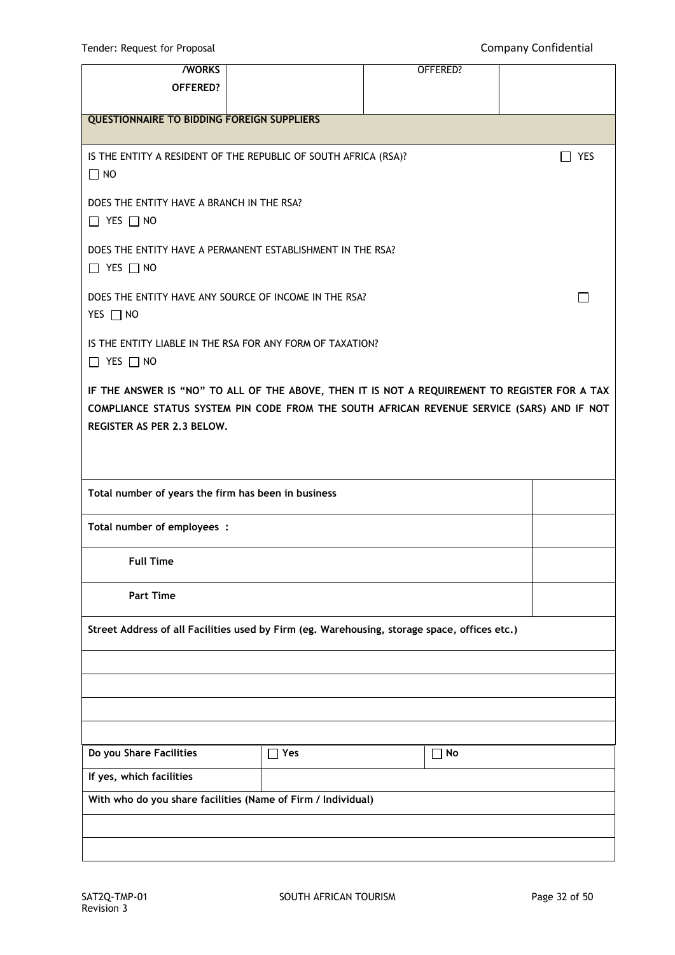Tender: Request for Proposal **Company Confidential** 

| <b>/WORKS</b>                                                                                                                                                                                                             |            | OFFERED?  |              |
|---------------------------------------------------------------------------------------------------------------------------------------------------------------------------------------------------------------------------|------------|-----------|--------------|
| OFFERED?                                                                                                                                                                                                                  |            |           |              |
| <b>QUESTIONNAIRE TO BIDDING FOREIGN SUPPLIERS</b>                                                                                                                                                                         |            |           |              |
| IS THE ENTITY A RESIDENT OF THE REPUBLIC OF SOUTH AFRICA (RSA)?<br>$\Box$ NO                                                                                                                                              |            |           | <b>YES</b>   |
| DOES THE ENTITY HAVE A BRANCH IN THE RSA?<br>$\Box$ YES $\Box$ NO                                                                                                                                                         |            |           |              |
| DOES THE ENTITY HAVE A PERMANENT ESTABLISHMENT IN THE RSA?<br>$\Box$ YES $\Box$ NO                                                                                                                                        |            |           |              |
| DOES THE ENTITY HAVE ANY SOURCE OF INCOME IN THE RSA?<br>YES □ NO                                                                                                                                                         |            |           | $\mathbf{I}$ |
| IS THE ENTITY LIABLE IN THE RSA FOR ANY FORM OF TAXATION?<br>$\Box$ YES $\Box$ NO                                                                                                                                         |            |           |              |
| IF THE ANSWER IS "NO" TO ALL OF THE ABOVE, THEN IT IS NOT A REQUIREMENT TO REGISTER FOR A TAX<br>COMPLIANCE STATUS SYSTEM PIN CODE FROM THE SOUTH AFRICAN REVENUE SERVICE (SARS) AND IF NOT<br>REGISTER AS PER 2.3 BELOW. |            |           |              |
| Total number of years the firm has been in business                                                                                                                                                                       |            |           |              |
| Total number of employees :                                                                                                                                                                                               |            |           |              |
| <b>Full Time</b>                                                                                                                                                                                                          |            |           |              |
| <b>Part Time</b>                                                                                                                                                                                                          |            |           |              |
| Street Address of all Facilities used by Firm (eg. Warehousing, storage space, offices etc.)                                                                                                                              |            |           |              |
|                                                                                                                                                                                                                           |            |           |              |
|                                                                                                                                                                                                                           |            |           |              |
|                                                                                                                                                                                                                           |            |           |              |
| Do you Share Facilities                                                                                                                                                                                                   | $\Box$ Yes | $\Box$ No |              |
| If yes, which facilities                                                                                                                                                                                                  |            |           |              |
| With who do you share facilities (Name of Firm / Individual)                                                                                                                                                              |            |           |              |
|                                                                                                                                                                                                                           |            |           |              |
|                                                                                                                                                                                                                           |            |           |              |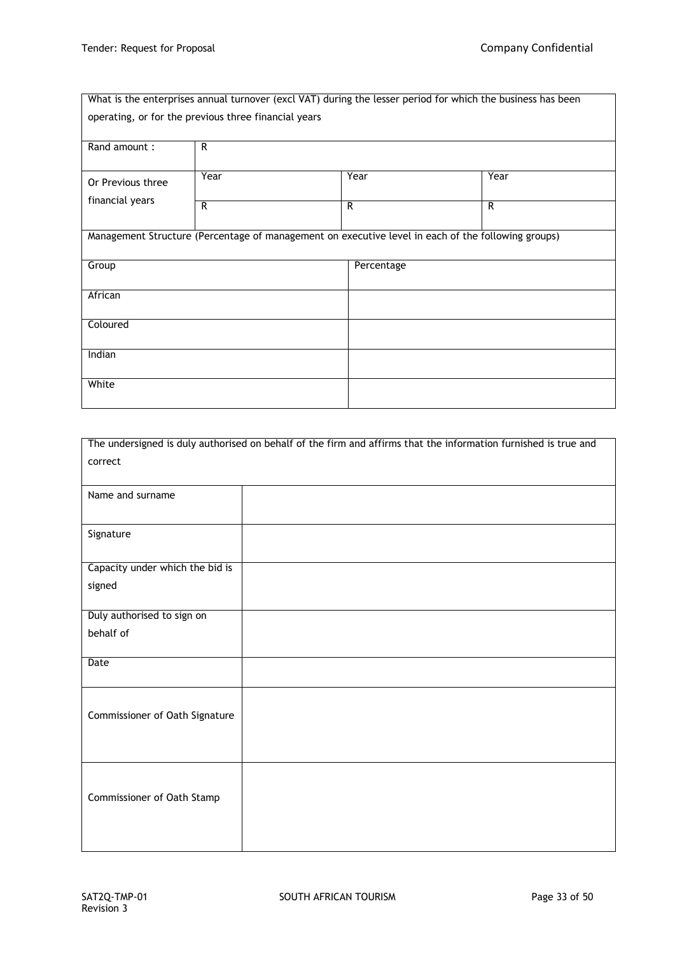|                                                      |      |            | What is the enterprises annual turnover (excl VAT) during the lesser period for which the business has been |
|------------------------------------------------------|------|------------|-------------------------------------------------------------------------------------------------------------|
| operating, or for the previous three financial years |      |            |                                                                                                             |
|                                                      |      |            |                                                                                                             |
| Rand amount:                                         | R    |            |                                                                                                             |
|                                                      |      |            |                                                                                                             |
| Or Previous three                                    | Year | Year       | Year                                                                                                        |
| financial years                                      | R    | R          | R                                                                                                           |
|                                                      |      |            |                                                                                                             |
|                                                      |      |            | Management Structure (Percentage of management on executive level in each of the following groups)          |
|                                                      |      |            |                                                                                                             |
| Group                                                |      | Percentage |                                                                                                             |
|                                                      |      |            |                                                                                                             |
| African                                              |      |            |                                                                                                             |
| Coloured                                             |      |            |                                                                                                             |
|                                                      |      |            |                                                                                                             |
| Indian                                               |      |            |                                                                                                             |
|                                                      |      |            |                                                                                                             |
| White                                                |      |            |                                                                                                             |
|                                                      |      |            |                                                                                                             |

|                                 | The undersigned is duly authorised on behalf of the firm and affirms that the information furnished is true and |
|---------------------------------|-----------------------------------------------------------------------------------------------------------------|
| correct                         |                                                                                                                 |
|                                 |                                                                                                                 |
| Name and surname                |                                                                                                                 |
|                                 |                                                                                                                 |
|                                 |                                                                                                                 |
| Signature                       |                                                                                                                 |
|                                 |                                                                                                                 |
| Capacity under which the bid is |                                                                                                                 |
| signed                          |                                                                                                                 |
|                                 |                                                                                                                 |
| Duly authorised to sign on      |                                                                                                                 |
| behalf of                       |                                                                                                                 |
|                                 |                                                                                                                 |
| Date                            |                                                                                                                 |
|                                 |                                                                                                                 |
|                                 |                                                                                                                 |
| Commissioner of Oath Signature  |                                                                                                                 |
|                                 |                                                                                                                 |
|                                 |                                                                                                                 |
|                                 |                                                                                                                 |
|                                 |                                                                                                                 |
|                                 |                                                                                                                 |
| Commissioner of Oath Stamp      |                                                                                                                 |
|                                 |                                                                                                                 |
|                                 |                                                                                                                 |
|                                 |                                                                                                                 |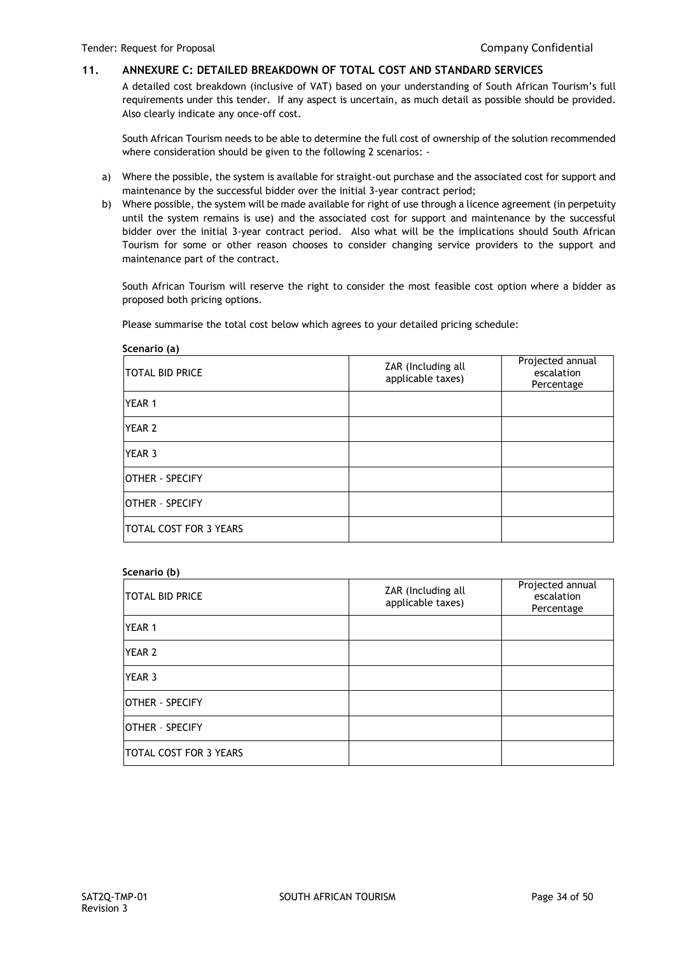# **11. ANNEXURE C: DETAILED BREAKDOWN OF TOTAL COST AND STANDARD SERVICES**

A detailed cost breakdown (inclusive of VAT) based on your understanding of South African Tourism's full requirements under this tender. If any aspect is uncertain, as much detail as possible should be provided. Also clearly indicate any once-off cost.

South African Tourism needs to be able to determine the full cost of ownership of the solution recommended where consideration should be given to the following 2 scenarios: -

- a) Where the possible, the system is available for straight-out purchase and the associated cost for support and maintenance by the successful bidder over the initial 3-year contract period;
- b) Where possible, the system will be made available for right of use through a licence agreement (in perpetuity until the system remains is use) and the associated cost for support and maintenance by the successful bidder over the initial 3-year contract period. Also what will be the implications should South African Tourism for some or other reason chooses to consider changing service providers to the support and maintenance part of the contract.

South African Tourism will reserve the right to consider the most feasible cost option where a bidder as proposed both pricing options.

Please summarise the total cost below which agrees to your detailed pricing schedule:

| Scenario (a)                  |                                         |                                              |
|-------------------------------|-----------------------------------------|----------------------------------------------|
| <b>TOTAL BID PRICE</b>        | ZAR (Including all<br>applicable taxes) | Projected annual<br>escalation<br>Percentage |
| <b>YEAR 1</b>                 |                                         |                                              |
| <b>YEAR 2</b>                 |                                         |                                              |
| <b>YEAR 3</b>                 |                                         |                                              |
| <b>OTHER - SPECIFY</b>        |                                         |                                              |
| <b>IOTHER - SPECIFY</b>       |                                         |                                              |
| <b>TOTAL COST FOR 3 YEARS</b> |                                         |                                              |

#### **Scenario (b)**

| <b>TOTAL BID PRICE</b>        | ZAR (Including all<br>applicable taxes) | Projected annual<br>escalation<br>Percentage |
|-------------------------------|-----------------------------------------|----------------------------------------------|
| <b>YEAR 1</b>                 |                                         |                                              |
| <b>YEAR 2</b>                 |                                         |                                              |
| <b>YEAR 3</b>                 |                                         |                                              |
| <b>IOTHER - SPECIFY</b>       |                                         |                                              |
| <b>IOTHER - SPECIFY</b>       |                                         |                                              |
| <b>TOTAL COST FOR 3 YEARS</b> |                                         |                                              |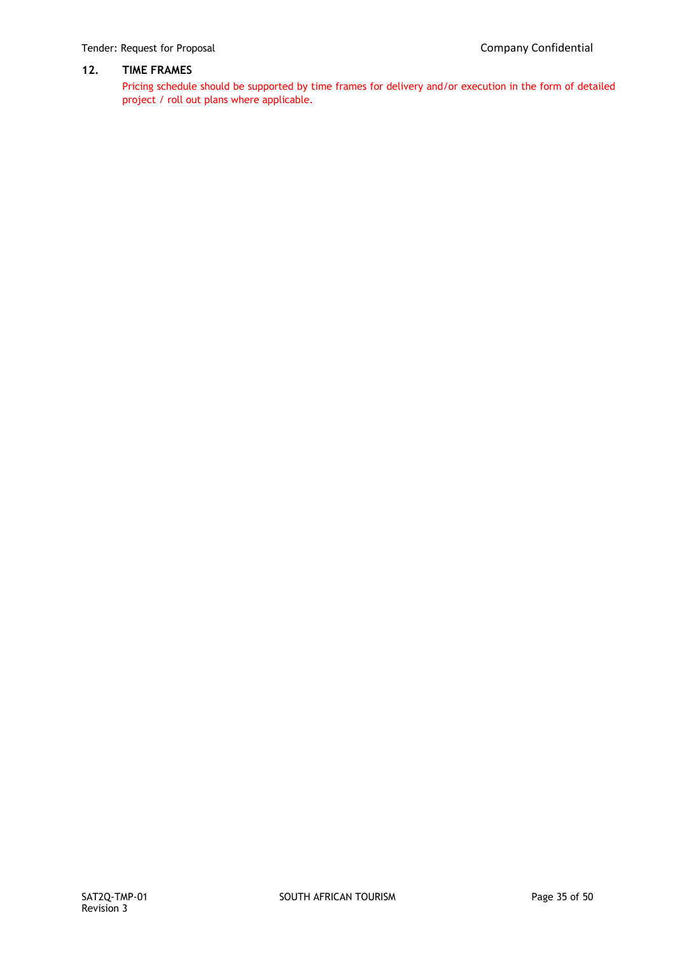# **12. TIME FRAMES**

Pricing schedule should be supported by time frames for delivery and/or execution in the form of detailed project / roll out plans where applicable.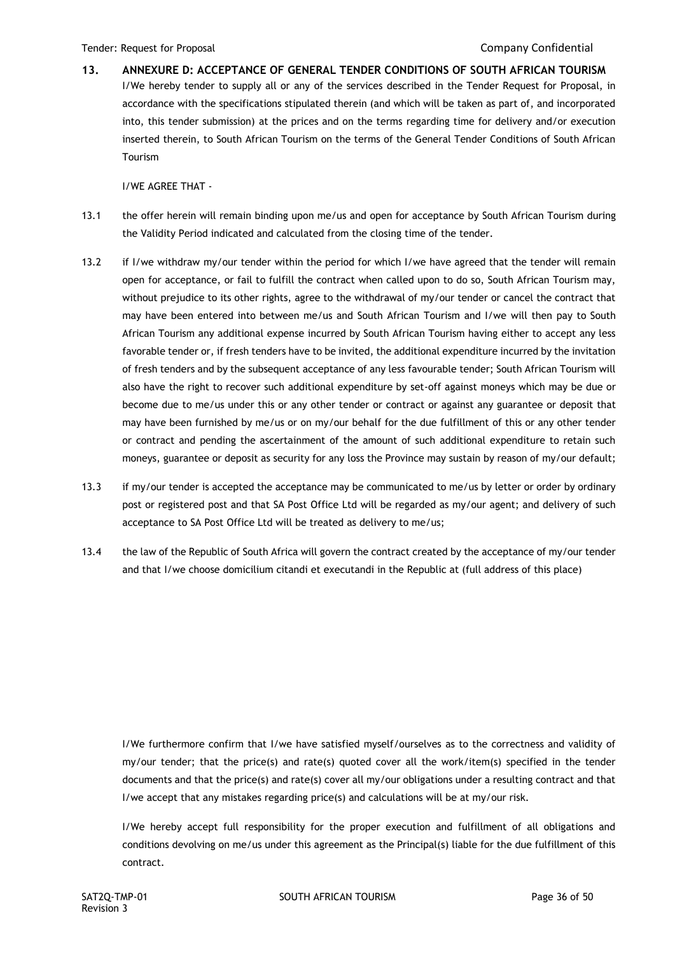**13. ANNEXURE D: ACCEPTANCE OF GENERAL TENDER CONDITIONS OF SOUTH AFRICAN TOURISM** I/We hereby tender to supply all or any of the services described in the Tender Request for Proposal, in accordance with the specifications stipulated therein (and which will be taken as part of, and incorporated into, this tender submission) at the prices and on the terms regarding time for delivery and/or execution inserted therein, to South African Tourism on the terms of the General Tender Conditions of South African Tourism

I/WE AGREE THAT -

- 13.1 the offer herein will remain binding upon me/us and open for acceptance by South African Tourism during the Validity Period indicated and calculated from the closing time of the tender.
- 13.2 if I/we withdraw my/our tender within the period for which I/we have agreed that the tender will remain open for acceptance, or fail to fulfill the contract when called upon to do so, South African Tourism may, without prejudice to its other rights, agree to the withdrawal of my/our tender or cancel the contract that may have been entered into between me/us and South African Tourism and I/we will then pay to South African Tourism any additional expense incurred by South African Tourism having either to accept any less favorable tender or, if fresh tenders have to be invited, the additional expenditure incurred by the invitation of fresh tenders and by the subsequent acceptance of any less favourable tender; South African Tourism will also have the right to recover such additional expenditure by set-off against moneys which may be due or become due to me/us under this or any other tender or contract or against any guarantee or deposit that may have been furnished by me/us or on my/our behalf for the due fulfillment of this or any other tender or contract and pending the ascertainment of the amount of such additional expenditure to retain such moneys, guarantee or deposit as security for any loss the Province may sustain by reason of my/our default;
- 13.3 if my/our tender is accepted the acceptance may be communicated to me/us by letter or order by ordinary post or registered post and that SA Post Office Ltd will be regarded as my/our agent; and delivery of such acceptance to SA Post Office Ltd will be treated as delivery to me/us;
- 13.4 the law of the Republic of South Africa will govern the contract created by the acceptance of my/our tender and that I/we choose domicilium citandi et executandi in the Republic at (full address of this place)

I/We furthermore confirm that I/we have satisfied myself/ourselves as to the correctness and validity of my/our tender; that the price(s) and rate(s) quoted cover all the work/item(s) specified in the tender documents and that the price(s) and rate(s) cover all my/our obligations under a resulting contract and that I/we accept that any mistakes regarding price(s) and calculations will be at my/our risk.

I/We hereby accept full responsibility for the proper execution and fulfillment of all obligations and conditions devolving on me/us under this agreement as the Principal(s) liable for the due fulfillment of this contract.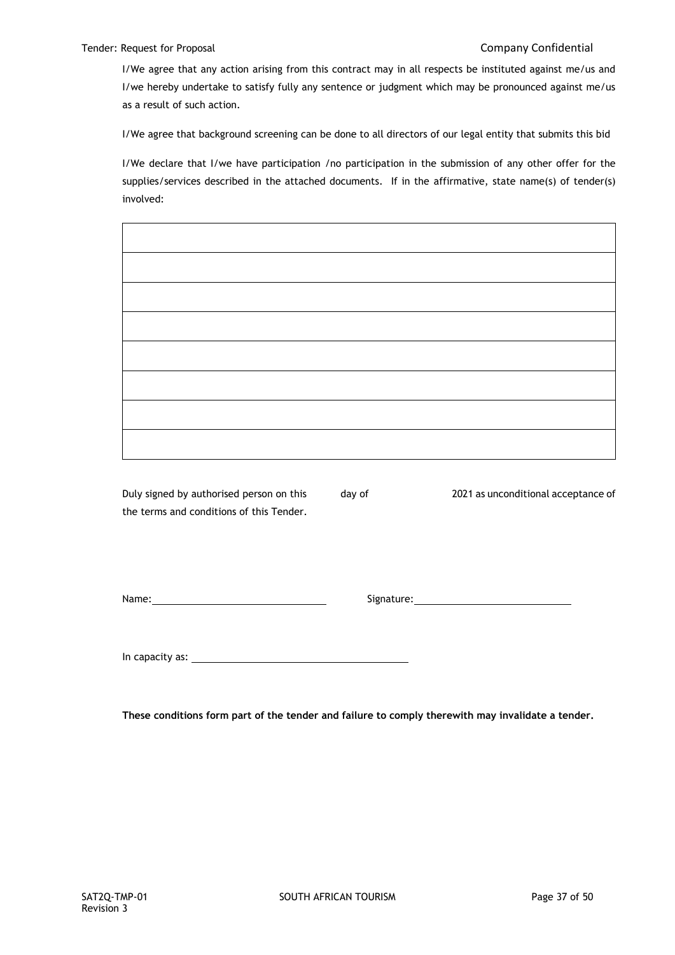I/We agree that any action arising from this contract may in all respects be instituted against me/us and I/we hereby undertake to satisfy fully any sentence or judgment which may be pronounced against me/us as a result of such action.

I/We agree that background screening can be done to all directors of our legal entity that submits this bid

I/We declare that I/we have participation /no participation in the submission of any other offer for the supplies/services described in the attached documents. If in the affirmative, state name(s) of tender(s) involved:

Duly signed by authorised person on this day of 2021 as unconditional acceptance of the terms and conditions of this Tender.

Name: Signature:

In capacity as:

**These conditions form part of the tender and failure to comply therewith may invalidate a tender.**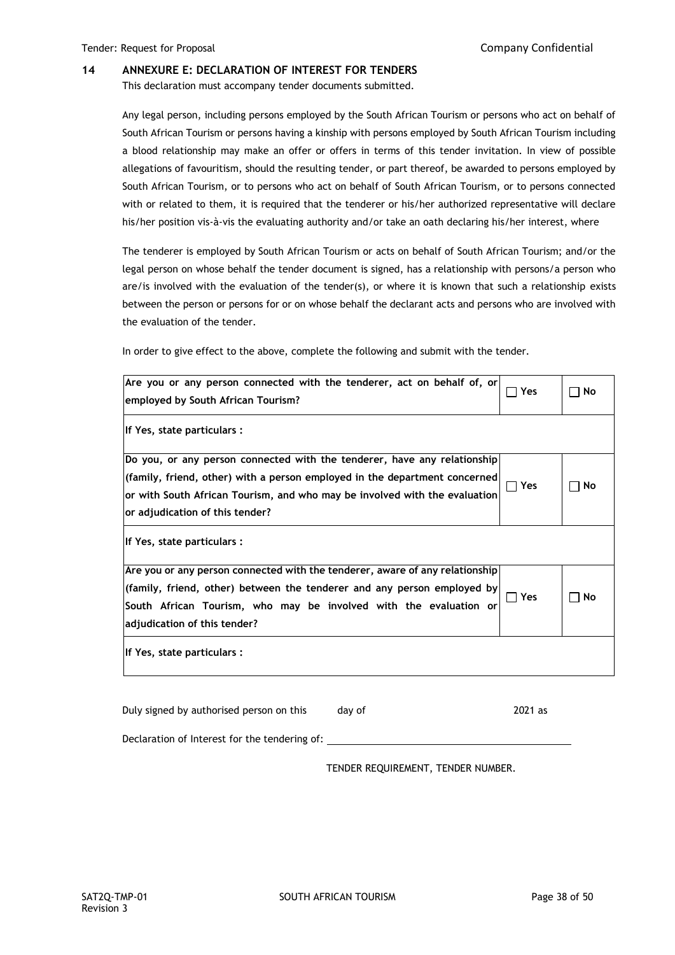#### **14 ANNEXURE E: DECLARATION OF INTEREST FOR TENDERS**

This declaration must accompany tender documents submitted.

Any legal person, including persons employed by the South African Tourism or persons who act on behalf of South African Tourism or persons having a kinship with persons employed by South African Tourism including a blood relationship may make an offer or offers in terms of this tender invitation. In view of possible allegations of favouritism, should the resulting tender, or part thereof, be awarded to persons employed by South African Tourism, or to persons who act on behalf of South African Tourism, or to persons connected with or related to them, it is required that the tenderer or his/her authorized representative will declare his/her position vis-à-vis the evaluating authority and/or take an oath declaring his/her interest, where

The tenderer is employed by South African Tourism or acts on behalf of South African Tourism; and/or the legal person on whose behalf the tender document is signed, has a relationship with persons/a person who are/is involved with the evaluation of the tender(s), or where it is known that such a relationship exists between the person or persons for or on whose behalf the declarant acts and persons who are involved with the evaluation of the tender.

In order to give effect to the above, complete the following and submit with the tender.

| Are you or any person connected with the tenderer, act on behalf of, or<br>employed by South African Tourism?                                                                                                                                                               | Yes                   | No |
|-----------------------------------------------------------------------------------------------------------------------------------------------------------------------------------------------------------------------------------------------------------------------------|-----------------------|----|
| If Yes, state particulars :                                                                                                                                                                                                                                                 |                       |    |
| Do you, or any person connected with the tenderer, have any relationship<br>$ $ (family, friend, other) with a person employed in the department concerned<br>or with South African Tourism, and who may be involved with the evaluation<br>or adjudication of this tender? | Yes                   | No |
| If Yes, state particulars :                                                                                                                                                                                                                                                 |                       |    |
| Are you or any person connected with the tenderer, aware of any relationship<br>(family, friend, other) between the tenderer and any person employed by<br>South African Tourism, who may be involved with the evaluation or<br>adjudication of this tender?                | Yes<br>$\blacksquare$ | No |
| If Yes, state particulars :                                                                                                                                                                                                                                                 |                       |    |

Duly signed by authorised person on this day of 2021 as Declaration of Interest for the tendering of:

TENDER REQUIREMENT, TENDER NUMBER.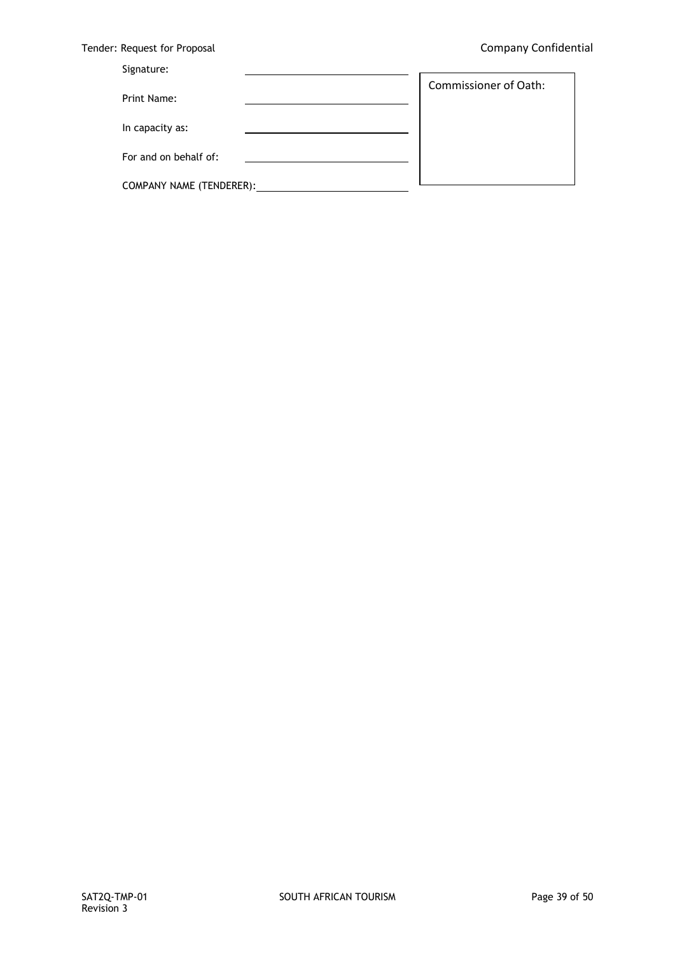$\overline{\phantom{a}}$ 

|  | Tender: Request for Proposal |  |  |  |
|--|------------------------------|--|--|--|
|--|------------------------------|--|--|--|

# Signature:

|                          | <b>Commissioner of Oath:</b> |
|--------------------------|------------------------------|
| Print Name:              |                              |
| In capacity as:          |                              |
| For and on behalf of:    |                              |
| COMPANY NAME (TENDERER): |                              |

 $\overline{\phantom{a}}$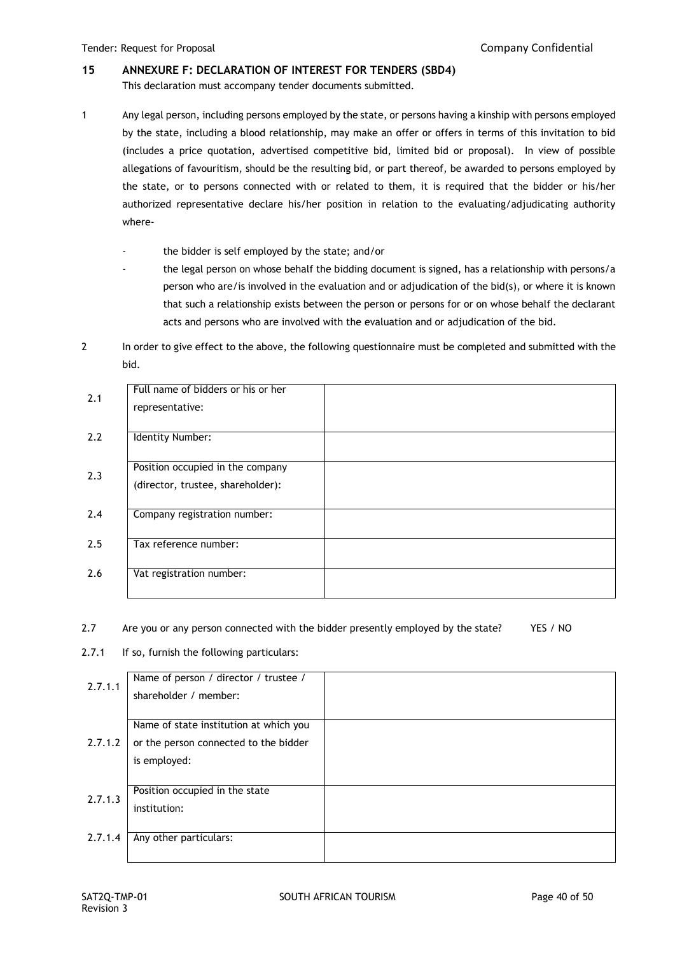# **15 ANNEXURE F: DECLARATION OF INTEREST FOR TENDERS (SBD4)**

This declaration must accompany tender documents submitted.

- 1 Any legal person, including persons employed by the state, or persons having a kinship with persons employed by the state, including a blood relationship, may make an offer or offers in terms of this invitation to bid (includes a price quotation, advertised competitive bid, limited bid or proposal). In view of possible allegations of favouritism, should be the resulting bid, or part thereof, be awarded to persons employed by the state, or to persons connected with or related to them, it is required that the bidder or his/her authorized representative declare his/her position in relation to the evaluating/adjudicating authority where
	- the bidder is self employed by the state; and/or
	- the legal person on whose behalf the bidding document is signed, has a relationship with persons/a person who are/is involved in the evaluation and or adjudication of the bid(s), or where it is known that such a relationship exists between the person or persons for or on whose behalf the declarant acts and persons who are involved with the evaluation and or adjudication of the bid.
- 2 In order to give effect to the above, the following questionnaire must be completed and submitted with the bid.

| 2.1 | Full name of bidders or his or her<br>representative:                 |  |
|-----|-----------------------------------------------------------------------|--|
| 2.2 | Identity Number:                                                      |  |
| 2.3 | Position occupied in the company<br>(director, trustee, shareholder): |  |
| 2.4 | Company registration number:                                          |  |
| 2.5 | Tax reference number:                                                 |  |
| 2.6 | Vat registration number:                                              |  |

### 2.7 Are you or any person connected with the bidder presently employed by the state? YES / NO

2.7.1 If so, furnish the following particulars:

| shareholder / member:                  |                                                       |
|----------------------------------------|-------------------------------------------------------|
|                                        |                                                       |
| Name of state institution at which you |                                                       |
| or the person connected to the bidder  |                                                       |
|                                        |                                                       |
|                                        |                                                       |
| Position occupied in the state         |                                                       |
| institution:                           |                                                       |
|                                        |                                                       |
| Any other particulars:                 |                                                       |
|                                        |                                                       |
|                                        | Name of person / director / trustee /<br>is employed: |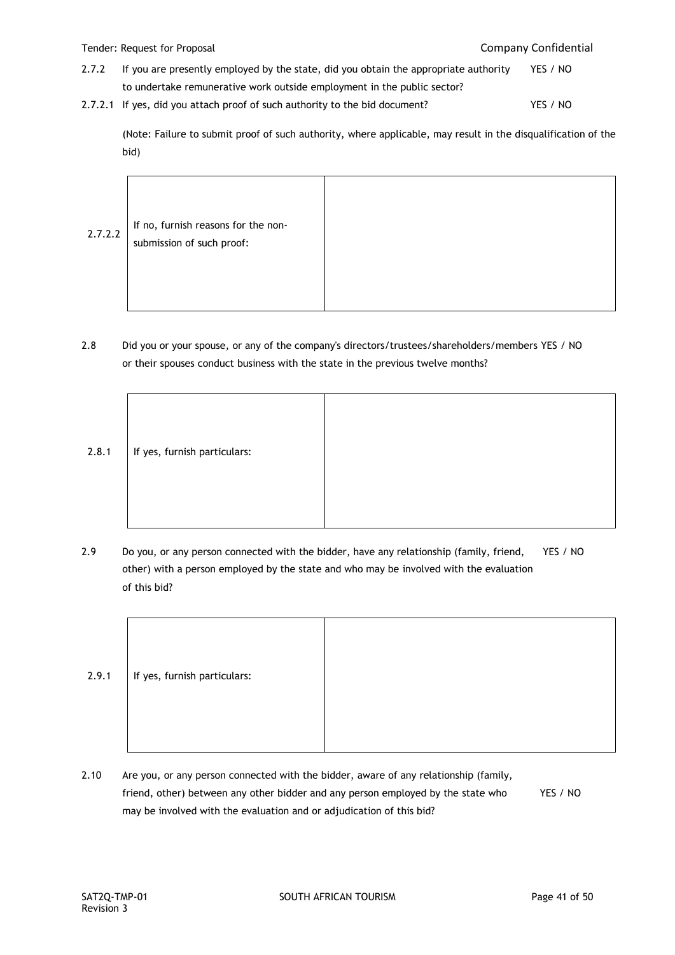## Tender: Request for Proposal Company Confidential

- 2.7.2 If you are presently employed by the state, did you obtain the appropriate authority YES / NO to undertake remunerative work outside employment in the public sector?
- 2.7.2.1 If yes, did you attach proof of such authority to the bid document? YES / NO

(Note: Failure to submit proof of such authority, where applicable, may result in the disqualification of the bid)

2.7.2.2 If no, furnish reasons for the nonsubmission of such proof:

2.8 Did you or your spouse, or any of the company's directors/trustees/shareholders/members YES / NO or their spouses conduct business with the state in the previous twelve months?



2.9 Do you, or any person connected with the bidder, have any relationship (family, friend, YES / NO other) with a person employed by the state and who may be involved with the evaluation of this bid?

| 2.9.1 | If yes, furnish particulars: |  |
|-------|------------------------------|--|
|       |                              |  |

2.10 Are you, or any person connected with the bidder, aware of any relationship (family, friend, other) between any other bidder and any person employed by the state who YES / NO may be involved with the evaluation and or adjudication of this bid?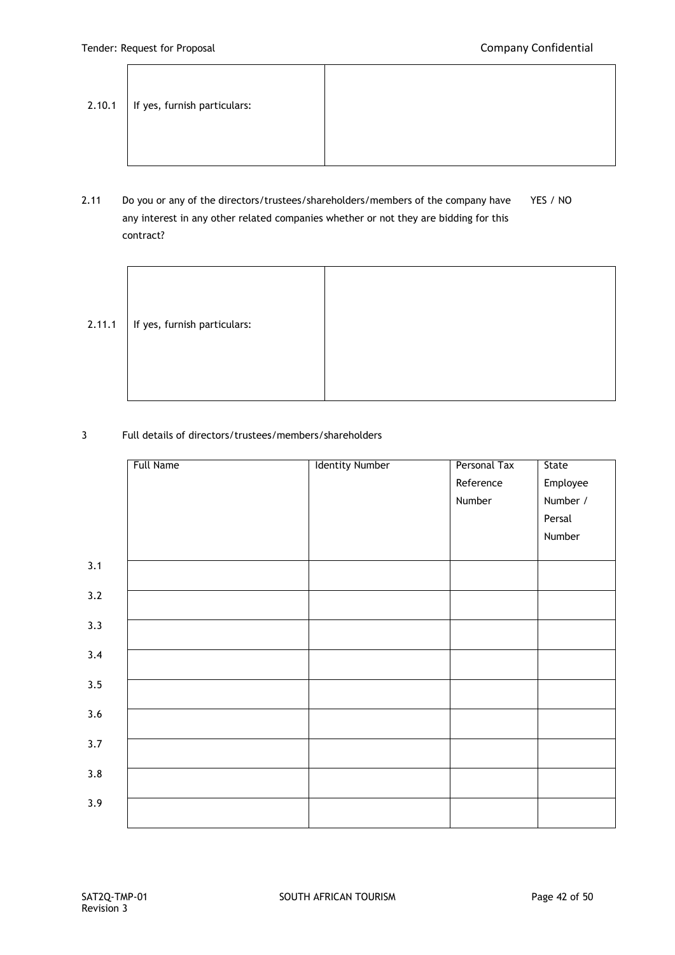Ĭ.

| 2.10.1 | If yes, furnish particulars: |  |
|--------|------------------------------|--|
|--------|------------------------------|--|

2.11 Do you or any of the directors/trustees/shareholders/members of the company have YES / NO any interest in any other related companies whether or not they are bidding for this contract?

| 2.11.1 | If yes, furnish particulars: |  |
|--------|------------------------------|--|
|        |                              |  |

3 Full details of directors/trustees/members/shareholders

|     | Full Name | <b>Identity Number</b> | Personal Tax | State    |
|-----|-----------|------------------------|--------------|----------|
|     |           |                        | Reference    | Employee |
|     |           |                        | Number       | Number / |
|     |           |                        |              | Persal   |
|     |           |                        |              | Number   |
|     |           |                        |              |          |
| 3.1 |           |                        |              |          |
| 3.2 |           |                        |              |          |
| 3.3 |           |                        |              |          |
| 3.4 |           |                        |              |          |
|     |           |                        |              |          |
| 3.5 |           |                        |              |          |
| 3.6 |           |                        |              |          |
| 3.7 |           |                        |              |          |
|     |           |                        |              |          |
| 3.8 |           |                        |              |          |
| 3.9 |           |                        |              |          |
|     |           |                        |              |          |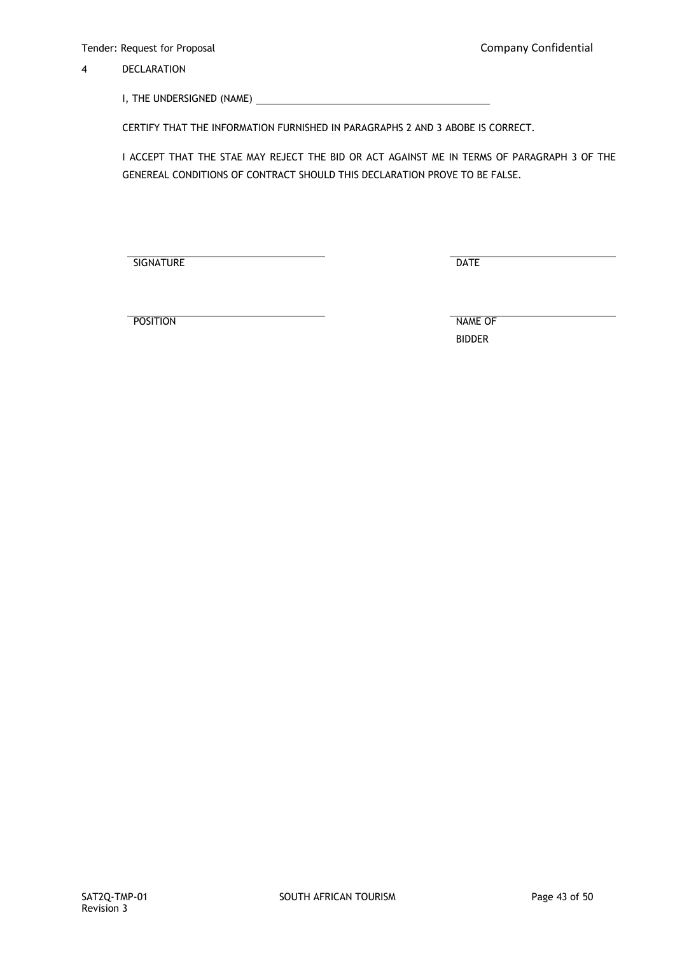4 DECLARATION

I, THE UNDERSIGNED (NAME)

CERTIFY THAT THE INFORMATION FURNISHED IN PARAGRAPHS 2 AND 3 ABOBE IS CORRECT.

I ACCEPT THAT THE STAE MAY REJECT THE BID OR ACT AGAINST ME IN TERMS OF PARAGRAPH 3 OF THE GENEREAL CONDITIONS OF CONTRACT SHOULD THIS DECLARATION PROVE TO BE FALSE.

**SIGNATURE** DATE

POSITION NAME OF

BIDDER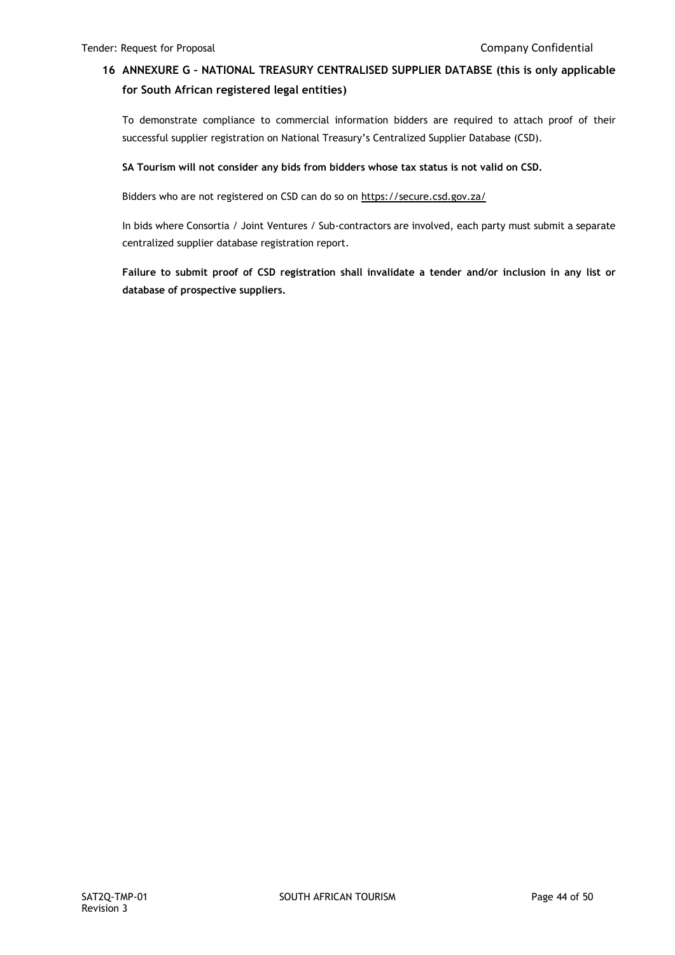# **16 ANNEXURE G – NATIONAL TREASURY CENTRALISED SUPPLIER DATABSE (this is only applicable for South African registered legal entities)**

To demonstrate compliance to commercial information bidders are required to attach proof of their successful supplier registration on National Treasury's Centralized Supplier Database (CSD).

# **SA Tourism will not consider any bids from bidders whose tax status is not valid on CSD.**

Bidders who are not registered on CSD can do so on<https://secure.csd.gov.za/>

In bids where Consortia / Joint Ventures / Sub-contractors are involved, each party must submit a separate centralized supplier database registration report.

**Failure to submit proof of CSD registration shall invalidate a tender and/or inclusion in any list or database of prospective suppliers.**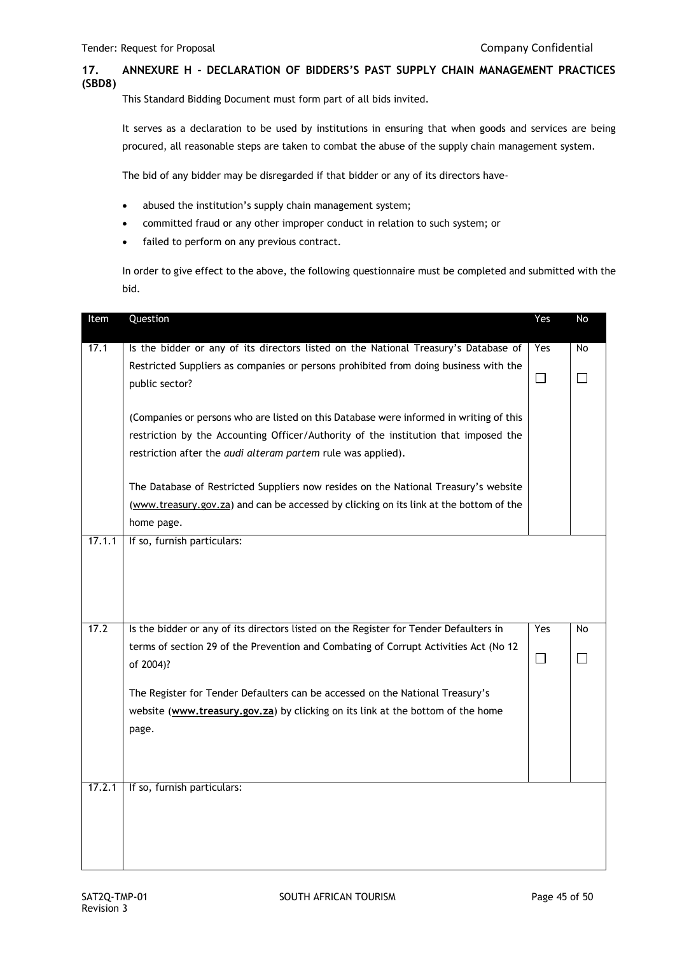# **17. ANNEXURE H - DECLARATION OF BIDDERS'S PAST SUPPLY CHAIN MANAGEMENT PRACTICES (SBD8)**

This Standard Bidding Document must form part of all bids invited.

It serves as a declaration to be used by institutions in ensuring that when goods and services are being procured, all reasonable steps are taken to combat the abuse of the supply chain management system.

The bid of any bidder may be disregarded if that bidder or any of its directors have-

- abused the institution's supply chain management system;
- committed fraud or any other improper conduct in relation to such system; or
- failed to perform on any previous contract.

In order to give effect to the above, the following questionnaire must be completed and submitted with the bid.

| Item   | Question                                                                                                                                                                                                                                      | Yes    | No           |
|--------|-----------------------------------------------------------------------------------------------------------------------------------------------------------------------------------------------------------------------------------------------|--------|--------------|
| 17.1   | Is the bidder or any of its directors listed on the National Treasury's Database of                                                                                                                                                           | Yes    | <b>No</b>    |
|        | Restricted Suppliers as companies or persons prohibited from doing business with the<br>public sector?                                                                                                                                        | $\Box$ | $\perp$      |
|        | (Companies or persons who are listed on this Database were informed in writing of this<br>restriction by the Accounting Officer/Authority of the institution that imposed the<br>restriction after the audi alteram partem rule was applied). |        |              |
|        | The Database of Restricted Suppliers now resides on the National Treasury's website<br>(www.treasury.gov.za) and can be accessed by clicking on its link at the bottom of the<br>home page.                                                   |        |              |
| 17.1.1 | If so, furnish particulars:                                                                                                                                                                                                                   |        |              |
| 17.2   | Is the bidder or any of its directors listed on the Register for Tender Defaulters in                                                                                                                                                         | Yes    | <b>No</b>    |
|        | terms of section 29 of the Prevention and Combating of Corrupt Activities Act (No 12<br>of 2004)?                                                                                                                                             | $\Box$ | $\mathsf{L}$ |
|        | The Register for Tender Defaulters can be accessed on the National Treasury's<br>website (www.treasury.gov.za) by clicking on its link at the bottom of the home<br>page.                                                                     |        |              |
| 17.2.1 | If so, furnish particulars:                                                                                                                                                                                                                   |        |              |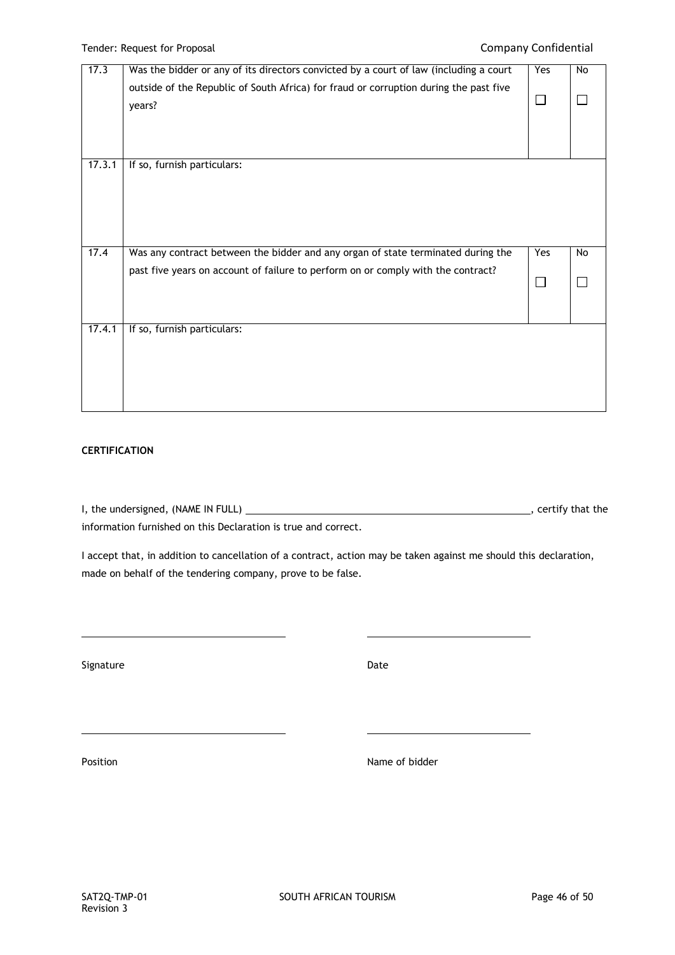| 17.3   | Was the bidder or any of its directors convicted by a court of law (including a court | $\overline{Y}$ es | No        |
|--------|---------------------------------------------------------------------------------------|-------------------|-----------|
|        | outside of the Republic of South Africa) for fraud or corruption during the past five |                   |           |
|        | years?                                                                                | $\mathsf{L}$      |           |
|        |                                                                                       |                   |           |
|        |                                                                                       |                   |           |
|        |                                                                                       |                   |           |
| 17.3.1 | If so, furnish particulars:                                                           |                   |           |
|        |                                                                                       |                   |           |
|        |                                                                                       |                   |           |
|        |                                                                                       |                   |           |
|        |                                                                                       |                   |           |
|        |                                                                                       |                   |           |
| 17.4   | Was any contract between the bidder and any organ of state terminated during the      | Yes               | <b>No</b> |
|        | past five years on account of failure to perform on or comply with the contract?      |                   |           |
|        |                                                                                       |                   |           |
|        |                                                                                       |                   |           |
|        |                                                                                       |                   |           |
| 17.4.1 | If so, furnish particulars:                                                           |                   |           |
|        |                                                                                       |                   |           |
|        |                                                                                       |                   |           |
|        |                                                                                       |                   |           |
|        |                                                                                       |                   |           |
|        |                                                                                       |                   |           |

# **CERTIFICATION**

I, the undersigned, (NAME IN FULL)  $\overline{\phantom{a}}$  = 0.000  $\overline{\phantom{a}}$  = 0.000  $\overline{\phantom{a}}$  , certify that the information furnished on this Declaration is true and correct.

I accept that, in addition to cancellation of a contract, action may be taken against me should this declaration, made on behalf of the tendering company, prove to be false.

Signature Date Date Date Date

Position **Name of bidder**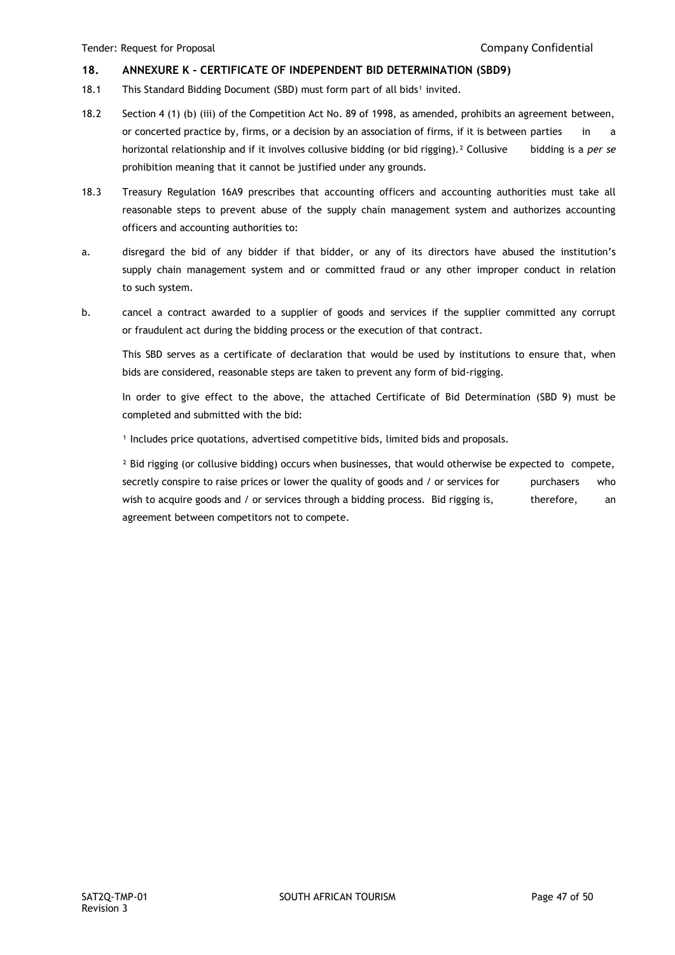# **18. ANNEXURE K - CERTIFICATE OF INDEPENDENT BID DETERMINATION (SBD9)**

- 18.1 This Standard Bidding Document (SBD) must form part of all bids<sup>1</sup> invited.
- 18.2 Section 4 (1) (b) (iii) of the Competition Act No. 89 of 1998, as amended, prohibits an agreement between, or concerted practice by, firms, or a decision by an association of firms, if it is between parties in a horizontal relationship and if it involves collusive bidding (or bid rigging).² Collusive bidding is a *per se*  prohibition meaning that it cannot be justified under any grounds.
- 18.3 Treasury Regulation 16A9 prescribes that accounting officers and accounting authorities must take all reasonable steps to prevent abuse of the supply chain management system and authorizes accounting officers and accounting authorities to:
- a. disregard the bid of any bidder if that bidder, or any of its directors have abused the institution's supply chain management system and or committed fraud or any other improper conduct in relation to such system.
- b. cancel a contract awarded to a supplier of goods and services if the supplier committed any corrupt or fraudulent act during the bidding process or the execution of that contract.

This SBD serves as a certificate of declaration that would be used by institutions to ensure that, when bids are considered, reasonable steps are taken to prevent any form of bid-rigging.

In order to give effect to the above, the attached Certificate of Bid Determination (SBD 9) must be completed and submitted with the bid:

<sup>1</sup> Includes price quotations, advertised competitive bids, limited bids and proposals.

<sup>2</sup> Bid rigging (or collusive bidding) occurs when businesses, that would otherwise be expected to compete, secretly conspire to raise prices or lower the quality of goods and / or services for purchasers who wish to acquire goods and / or services through a bidding process. Bid rigging is, therefore, an agreement between competitors not to compete.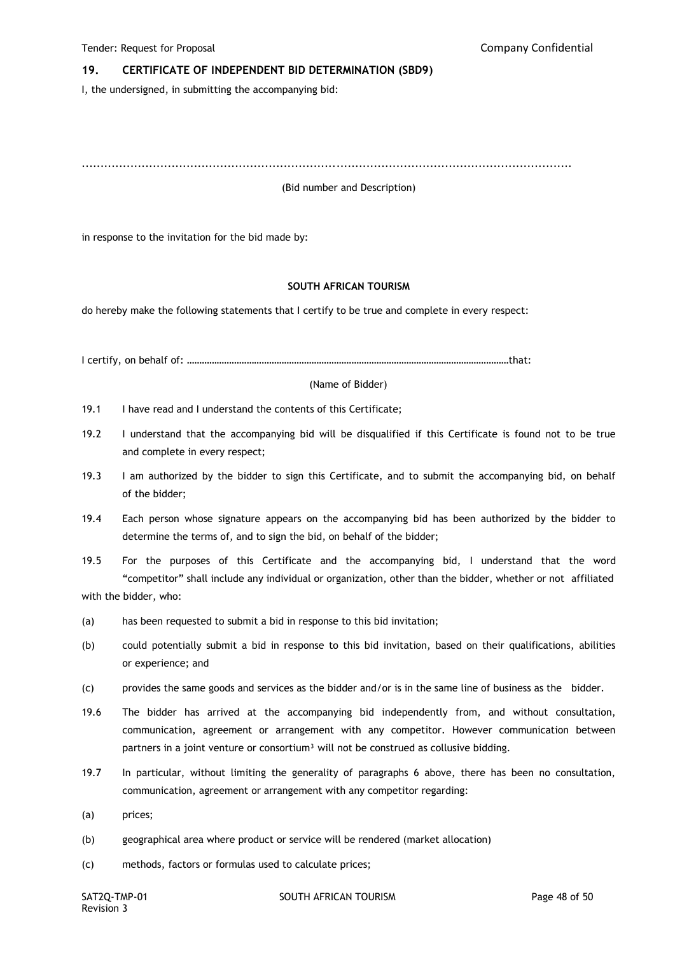### **19. CERTIFICATE OF INDEPENDENT BID DETERMINATION (SBD9)**

I, the undersigned, in submitting the accompanying bid:

...................................................................................................................................

(Bid number and Description)

in response to the invitation for the bid made by:

#### **SOUTH AFRICAN TOURISM**

do hereby make the following statements that I certify to be true and complete in every respect:

I certify, on behalf of: …………………………………………………………………………………………………………………that:

(Name of Bidder)

- 19.1 I have read and I understand the contents of this Certificate;
- 19.2 I understand that the accompanying bid will be disqualified if this Certificate is found not to be true and complete in every respect;
- 19.3 I am authorized by the bidder to sign this Certificate, and to submit the accompanying bid, on behalf of the bidder;
- 19.4 Each person whose signature appears on the accompanying bid has been authorized by the bidder to determine the terms of, and to sign the bid, on behalf of the bidder;
- 19.5 For the purposes of this Certificate and the accompanying bid, I understand that the word "competitor" shall include any individual or organization, other than the bidder, whether or not affiliated with the bidder, who:
- (a) has been requested to submit a bid in response to this bid invitation;
- (b) could potentially submit a bid in response to this bid invitation, based on their qualifications, abilities or experience; and
- (c) provides the same goods and services as the bidder and/or is in the same line of business as the bidder.
- 19.6 The bidder has arrived at the accompanying bid independently from, and without consultation, communication, agreement or arrangement with any competitor. However communication between partners in a joint venture or consortium<sup>3</sup> will not be construed as collusive bidding.
- 19.7 In particular, without limiting the generality of paragraphs 6 above, there has been no consultation, communication, agreement or arrangement with any competitor regarding:
- (a) prices;
- (b) geographical area where product or service will be rendered (market allocation)
- (c) methods, factors or formulas used to calculate prices;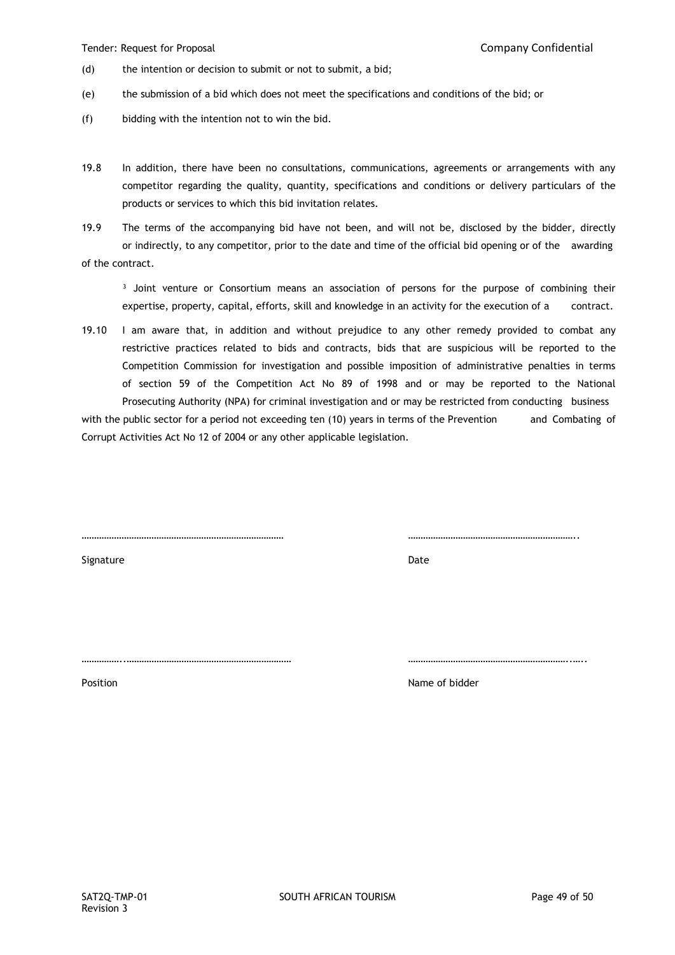Tender: Request for Proposal Company Confidential

- (d) the intention or decision to submit or not to submit, a bid;
- (e) the submission of a bid which does not meet the specifications and conditions of the bid; or
- (f) bidding with the intention not to win the bid.
- 19.8 In addition, there have been no consultations, communications, agreements or arrangements with any competitor regarding the quality, quantity, specifications and conditions or delivery particulars of the products or services to which this bid invitation relates.
- 19.9 The terms of the accompanying bid have not been, and will not be, disclosed by the bidder, directly or indirectly, to any competitor, prior to the date and time of the official bid opening or of the awarding of the contract.

<sup>3</sup> Joint venture or Consortium means an association of persons for the purpose of combining their expertise, property, capital, efforts, skill and knowledge in an activity for the execution of a contract.

19.10 I am aware that, in addition and without prejudice to any other remedy provided to combat any restrictive practices related to bids and contracts, bids that are suspicious will be reported to the Competition Commission for investigation and possible imposition of administrative penalties in terms of section 59 of the Competition Act No 89 of 1998 and or may be reported to the National Prosecuting Authority (NPA) for criminal investigation and or may be restricted from conducting business

with the public sector for a period not exceeding ten (10) years in terms of the Prevention and Combating of Corrupt Activities Act No 12 of 2004 or any other applicable legislation.

……………………………………………………………………… …………………………………………………………..

Signature Date

Position **Name of bidder Name of bidder** 

……………..………………………………………………………… ………………………………………………………..…..